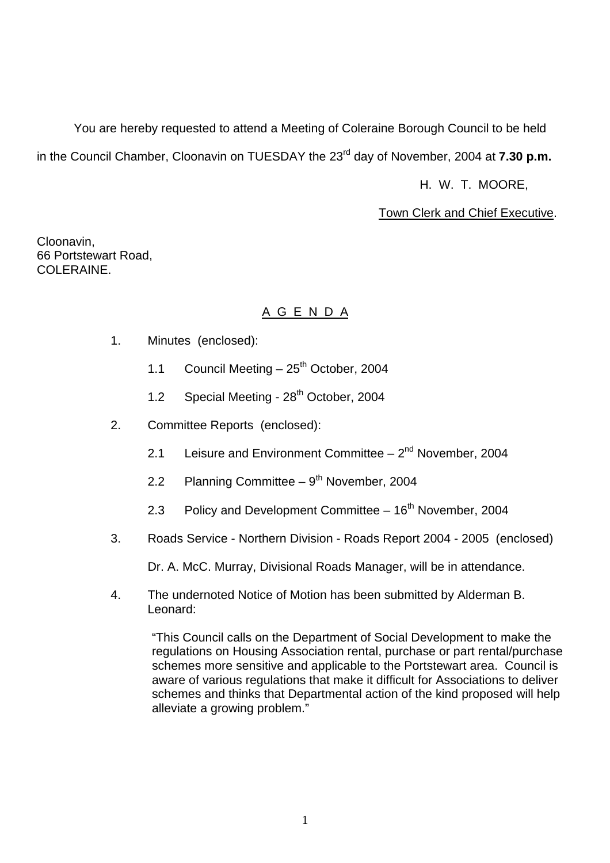You are hereby requested to attend a Meeting of Coleraine Borough Council to be held in the Council Chamber, Cloonavin on TUESDAY the 23<sup>rd</sup> day of November, 2004 at **7.30 p.m.** 

H. W. T. MOORE,

Town Clerk and Chief Executive.

Cloonavin, 66 Portstewart Road, COLERAINE.

# A G E N D A

- 1. Minutes (enclosed):
	- 1.1 Council Meeting  $-25$ <sup>th</sup> October, 2004
	- 1.2 Special Meeting 28<sup>th</sup> October, 2004
- 2. Committee Reports (enclosed):
	- 2.1 Leisure and Environment Committee  $-2<sup>nd</sup>$  November, 2004
	- 2.2 Planning Committee  $9<sup>th</sup>$  November, 2004
	- 2.3 Policy and Development Committee  $-16<sup>th</sup>$  November, 2004
- 3. Roads Service Northern Division Roads Report 2004 2005 (enclosed)

Dr. A. McC. Murray, Divisional Roads Manager, will be in attendance.

4. The undernoted Notice of Motion has been submitted by Alderman B. Leonard:

"This Council calls on the Department of Social Development to make the regulations on Housing Association rental, purchase or part rental/purchase schemes more sensitive and applicable to the Portstewart area. Council is aware of various regulations that make it difficult for Associations to deliver schemes and thinks that Departmental action of the kind proposed will help alleviate a growing problem."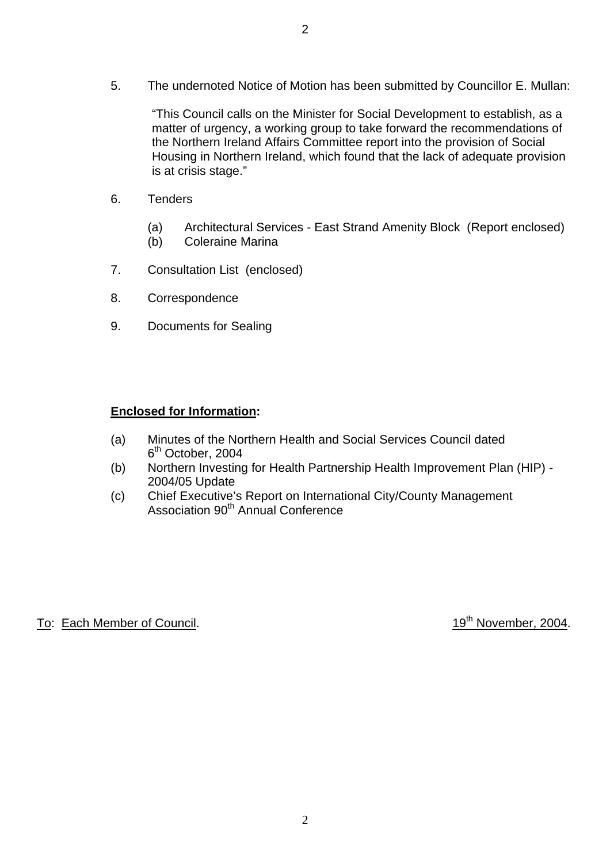"This Council calls on the Minister for Social Development to establish, as a matter of urgency, a working group to take forward the recommendations of the Northern Ireland Affairs Committee report into the provision of Social Housing in Northern Ireland, which found that the lack of adequate provision is at crisis stage."

- 6. Tenders
	- (a) Architectural Services East Strand Amenity Block (Report enclosed)
	- (b) Coleraine Marina
- 7. Consultation List (enclosed)
- 8. Correspondence
- 9. Documents for Sealing

# **Enclosed for Information:**

- (a) Minutes of the Northern Health and Social Services Council dated 6<sup>th</sup> October, 2004
- (b) Northern Investing for Health Partnership Health Improvement Plan (HIP) 2004/05 Update
- (c) Chief Executive's Report on International City/County Management Association 90<sup>th</sup> Annual Conference

To: Each Member of Council. 19th November, 2004.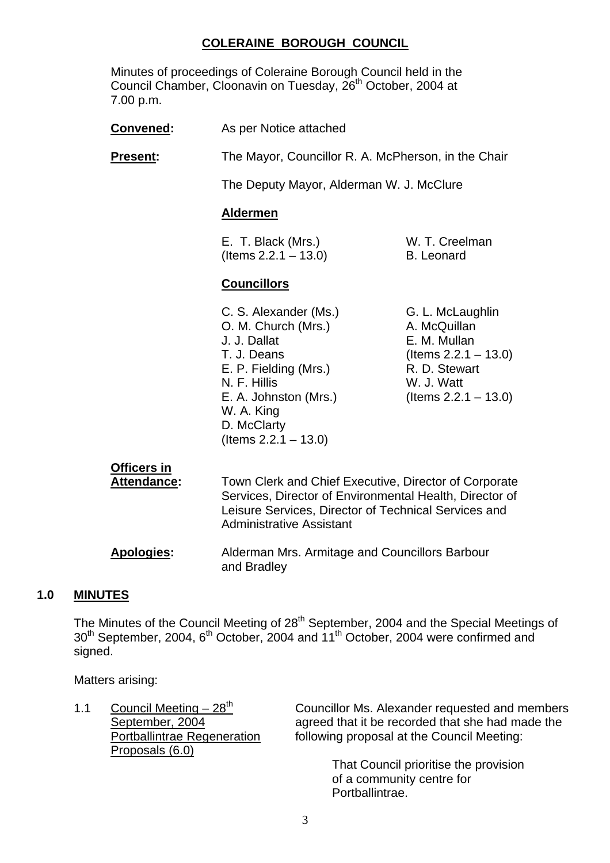# **COLERAINE BOROUGH COUNCIL**

Minutes of proceedings of Coleraine Borough Council held in the Council Chamber, Cloonavin on Tuesday, 26<sup>th</sup> October, 2004 at 7.00 p.m.

| Convened:       | As per Notice attached                                                                                                                                                                                |                                                                                                                                       |
|-----------------|-------------------------------------------------------------------------------------------------------------------------------------------------------------------------------------------------------|---------------------------------------------------------------------------------------------------------------------------------------|
| <u>Present:</u> | The Mayor, Councillor R. A. McPherson, in the Chair                                                                                                                                                   |                                                                                                                                       |
|                 | The Deputy Mayor, Alderman W. J. McClure                                                                                                                                                              |                                                                                                                                       |
|                 | <u>Aldermen</u>                                                                                                                                                                                       |                                                                                                                                       |
|                 | E. T. Black (Mrs.)<br>$($ ltems 2.2.1 $-$ 13.0)                                                                                                                                                       | W. T. Creelman<br><b>B.</b> Leonard                                                                                                   |
|                 | <b>Councillors</b>                                                                                                                                                                                    |                                                                                                                                       |
|                 | C. S. Alexander (Ms.)<br>O. M. Church (Mrs.)<br>J. J. Dallat<br>T. J. Deans<br>E. P. Fielding (Mrs.)<br>N. F. Hillis<br>E. A. Johnston (Mrs.)<br>W. A. King<br>D. McClarty<br>(Items $2.2.1 - 13.0$ ) | G. L. McLaughlin<br>A. McQuillan<br>E. M. Mullan<br>(Items $2.2.1 - 13.0$ )<br>R. D. Stewart<br>W. J. Watt<br>(Items $2.2.1 - 13.0$ ) |

# **Officers in**

 **Attendance:** Town Clerk and Chief Executive, Director of Corporate Services, Director of Environmental Health, Director of Leisure Services, Director of Technical Services and Administrative Assistant

 **Apologies:** Alderman Mrs. Armitage and Councillors Barbour and Bradley

#### **1.0 MINUTES**

The Minutes of the Council Meeting of  $28<sup>th</sup>$  September, 2004 and the Special Meetings of  $30<sup>th</sup>$  September, 2004, 6<sup>th</sup> October, 2004 and 11<sup>th</sup> October, 2004 were confirmed and signed.

Matters arising:

Proposals (6.0)

1.1 Council Meeting –  $28^{th}$  Councillor Ms. Alexander requested and members September, 2004 agreed that it be recorded that she had made the agreed that it be recorded that she had made the Portballintrae Regeneration following proposal at the Council Meeting:

> That Council prioritise the provision of a community centre for Portballintrae.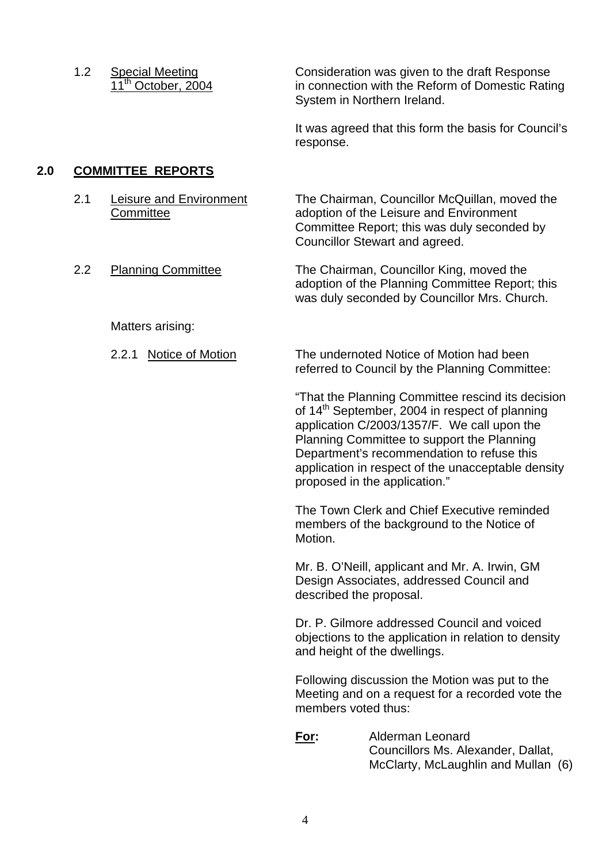1.2 Special Meeting Consideration was given to the draft Response 11<sup>th</sup> October, 2004 in connection with the Reform of Domestic Rating System in Northern Ireland.

> It was agreed that this form the basis for Council's response.

# **2.0 COMMITTEE REPORTS**

- 
- 

2.1 Leisure and Environment The Chairman, Councillor McQuillan, moved the Committee adoption of the Leisure and Environment Committee Report; this was duly seconded by Councillor Stewart and agreed.

2.2 Planning Committee The Chairman, Councillor King, moved the adoption of the Planning Committee Report; this was duly seconded by Councillor Mrs. Church.

Matters arising:

 2.2.1 Notice of Motion The undernoted Notice of Motion had been referred to Council by the Planning Committee:

> "That the Planning Committee rescind its decision of 14<sup>th</sup> September, 2004 in respect of planning application C/2003/1357/F. We call upon the Planning Committee to support the Planning Department's recommendation to refuse this application in respect of the unacceptable density proposed in the application."

 The Town Clerk and Chief Executive reminded members of the background to the Notice of Motion.

 Mr. B. O'Neill, applicant and Mr. A. Irwin, GM Design Associates, addressed Council and described the proposal.

 Dr. P. Gilmore addressed Council and voiced objections to the application in relation to density and height of the dwellings.

 Following discussion the Motion was put to the Meeting and on a request for a recorded vote the members voted thus:

 **For:** Alderman Leonard Councillors Ms. Alexander, Dallat, McClarty, McLaughlin and Mullan (6)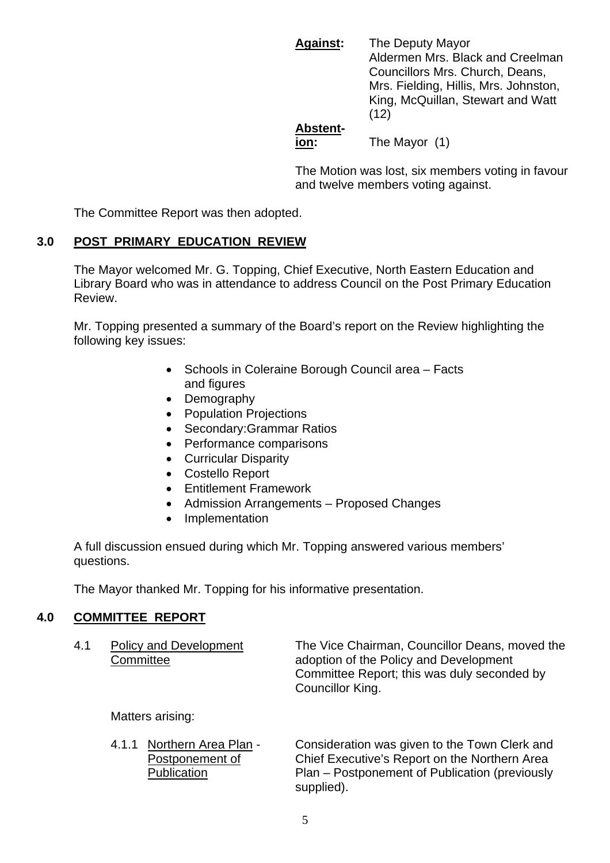**Against:** The Deputy Mayor Aldermen Mrs. Black and Creelman Councillors Mrs. Church, Deans, Mrs. Fielding, Hillis, Mrs. Johnston, King, McQuillan, Stewart and Watt  $(12)$ 

# **Abstent-**

**ion:** The Mayor (1)

 The Motion was lost, six members voting in favour and twelve members voting against.

The Committee Report was then adopted.

# **3.0 POST PRIMARY EDUCATION REVIEW**

 The Mayor welcomed Mr. G. Topping, Chief Executive, North Eastern Education and Library Board who was in attendance to address Council on the Post Primary Education Review.

 Mr. Topping presented a summary of the Board's report on the Review highlighting the following key issues:

- Schools in Coleraine Borough Council area Facts and figures
- Demography
- Population Projections
- Secondary:Grammar Ratios
- Performance comparisons
- Curricular Disparity
- Costello Report
- Entitlement Framework
- Admission Arrangements Proposed Changes
- Implementation

 A full discussion ensued during which Mr. Topping answered various members' questions.

The Mayor thanked Mr. Topping for his informative presentation.

# **4.0 COMMITTEE REPORT**

| 4.1 | Policy and Development<br>Committee | The Vice Chairman, Councillor Deans, moved the<br>adoption of the Policy and Development<br>Committee Report; this was duly seconded by<br>Councillor King. |
|-----|-------------------------------------|-------------------------------------------------------------------------------------------------------------------------------------------------------------|
|     | Matters arising:                    |                                                                                                                                                             |
|     | 4.1.1 Northern Area Plan -          | Consideration was given to the Town Clerk and                                                                                                               |

4.1.1 Northern Area Plan - Consideration was given to the Town Clerk and Postponement of Chief Executive's Report on the Northern Area Publication Plan – Postponement of Publication (previously supplied).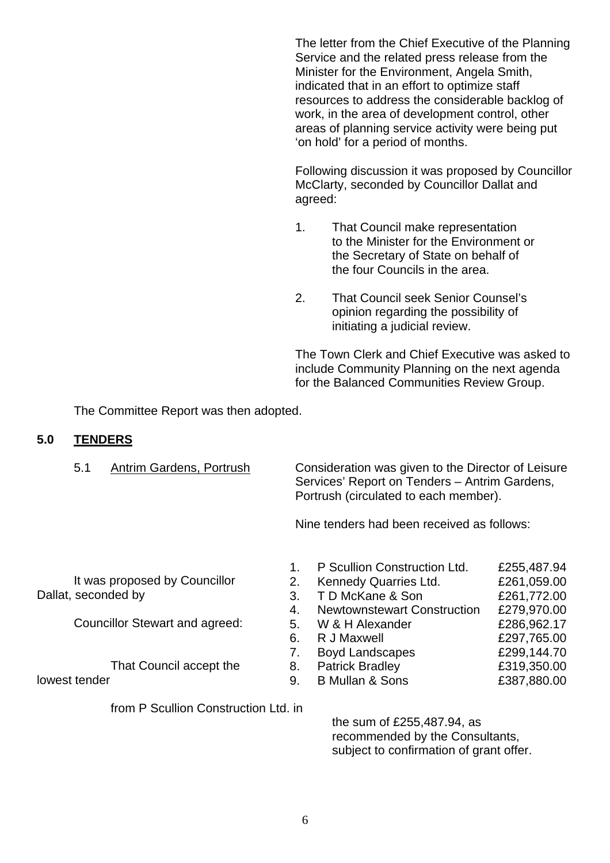The letter from the Chief Executive of the Planning Service and the related press release from the Minister for the Environment, Angela Smith, indicated that in an effort to optimize staff resources to address the considerable backlog of work, in the area of development control, other areas of planning service activity were being put 'on hold' for a period of months.

 Following discussion it was proposed by Councillor McClarty, seconded by Councillor Dallat and agreed:

- 1. That Council make representation to the Minister for the Environment or the Secretary of State on behalf of the four Councils in the area.
- 2. That Council seek Senior Counsel's opinion regarding the possibility of initiating a judicial review.

 The Town Clerk and Chief Executive was asked to include Community Planning on the next agenda for the Balanced Communities Review Group.

The Committee Report was then adopted.

#### **5.0 TENDERS**

 5.1 Antrim Gardens, Portrush Consideration was given to the Director of Leisure Services' Report on Tenders – Antrim Gardens, Portrush (circulated to each member).

Nine tenders had been received as follows:

 It was proposed by Councillor Dallat, seconded by

Councillor Stewart and agreed:

That Council accept the

lowest tender

from P Scullion Construction Ltd. in

 1. P Scullion Construction Ltd. £255,487.94 2. Kennedy Quarries Ltd. £261,059.00 3. T D McKane & Son £261,772.00 4. Newtownstewart Construction £279,970.00 5. W & H Alexander **£286,962.17**  6. R J Maxwell £297,765.00 7. Boyd Landscapes **E299,144.70**  8. Patrick Bradley £319,350.00 9. B Mullan & Sons £387,880.00

> the sum of £255,487.94, as recommended by the Consultants, subject to confirmation of grant offer.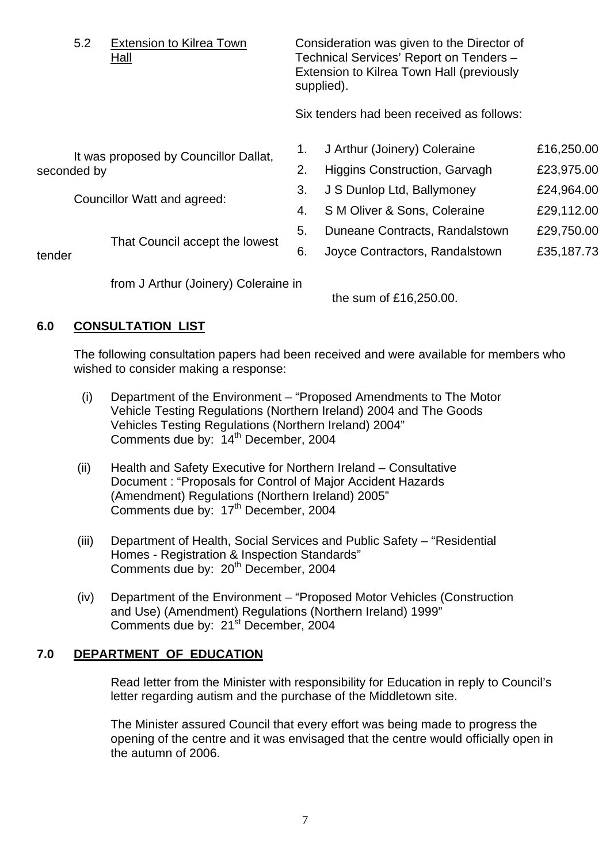|                             | 5.2<br><b>Extension to Kilrea Town</b><br><u>Hall</u> |                                       | Consideration was given to the Director of<br>Technical Services' Report on Tenders -<br>Extension to Kilrea Town Hall (previously<br>supplied). |                                           |            |
|-----------------------------|-------------------------------------------------------|---------------------------------------|--------------------------------------------------------------------------------------------------------------------------------------------------|-------------------------------------------|------------|
|                             |                                                       |                                       |                                                                                                                                                  | Six tenders had been received as follows: |            |
|                             |                                                       | It was proposed by Councillor Dallat, | 1.                                                                                                                                               | J Arthur (Joinery) Coleraine              | £16,250.00 |
| seconded by                 |                                                       | 2.                                    | Higgins Construction, Garvagh                                                                                                                    | £23,975.00                                |            |
| Councillor Watt and agreed: |                                                       | 3.                                    | J S Dunlop Ltd, Ballymoney                                                                                                                       | £24,964.00                                |            |
|                             |                                                       | 4.                                    | S M Oliver & Sons, Coleraine                                                                                                                     | £29,112.00                                |            |
|                             |                                                       |                                       | 5.                                                                                                                                               | Duneane Contracts, Randalstown            | £29,750.00 |
| tender                      | That Council accept the lowest                        |                                       | 6.                                                                                                                                               | Joyce Contractors, Randalstown            | £35,187.73 |
|                             |                                                       | from J Arthur (Joinery) Coleraine in  |                                                                                                                                                  | the sum of £16,250.00.                    |            |

# **6.0 CONSULTATION LIST**

 The following consultation papers had been received and were available for members who wished to consider making a response:

- (i) Department of the Environment "Proposed Amendments to The Motor Vehicle Testing Regulations (Northern Ireland) 2004 and The Goods Vehicles Testing Regulations (Northern Ireland) 2004" Comments due by: 14<sup>th</sup> December, 2004
- (ii) Health and Safety Executive for Northern Ireland Consultative Document : "Proposals for Control of Major Accident Hazards (Amendment) Regulations (Northern Ireland) 2005" Comments due by: 17<sup>th</sup> December, 2004
- (iii) Department of Health, Social Services and Public Safety "Residential Homes - Registration & Inspection Standards" Comments due by: 20<sup>th</sup> December, 2004
- (iv) Department of the Environment "Proposed Motor Vehicles (Construction and Use) (Amendment) Regulations (Northern Ireland) 1999" Comments due by: 21<sup>st</sup> December, 2004

# **7.0 DEPARTMENT OF EDUCATION**

 Read letter from the Minister with responsibility for Education in reply to Council's letter regarding autism and the purchase of the Middletown site.

 The Minister assured Council that every effort was being made to progress the opening of the centre and it was envisaged that the centre would officially open in the autumn of 2006.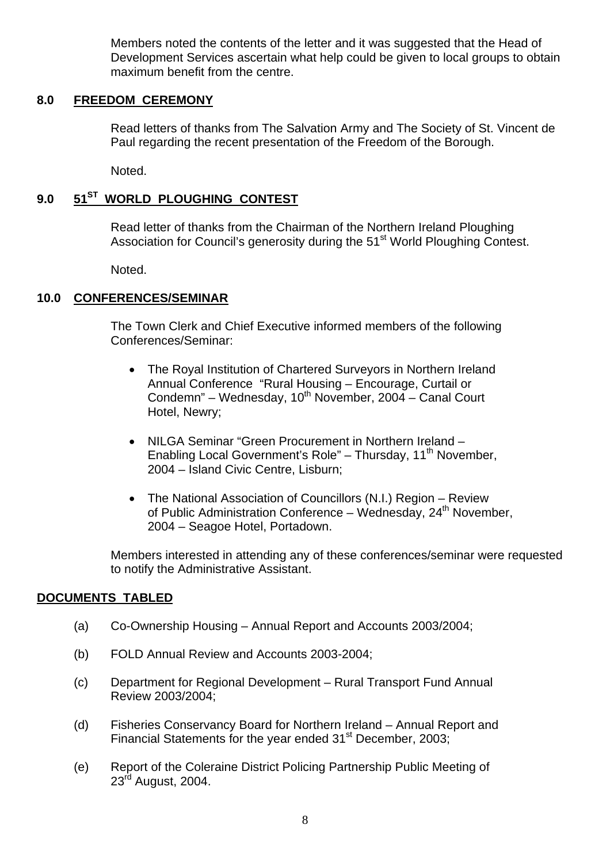Members noted the contents of the letter and it was suggested that the Head of Development Services ascertain what help could be given to local groups to obtain maximum benefit from the centre.

#### **8.0 FREEDOM CEREMONY**

 Read letters of thanks from The Salvation Army and The Society of St. Vincent de Paul regarding the recent presentation of the Freedom of the Borough.

Noted.

# **9.0 51ST WORLD PLOUGHING CONTEST**

 Read letter of thanks from the Chairman of the Northern Ireland Ploughing Association for Council's generosity during the 51<sup>st</sup> World Ploughing Contest.

Noted.

#### **10.0 CONFERENCES/SEMINAR**

 The Town Clerk and Chief Executive informed members of the following Conferences/Seminar:

- The Royal Institution of Chartered Surveyors in Northern Ireland Annual Conference "Rural Housing – Encourage, Curtail or Condemn" – Wednesday,  $10^{th}$  November, 2004 – Canal Court Hotel, Newry;
- NILGA Seminar "Green Procurement in Northern Ireland Enabling Local Government's Role" - Thursday, 11<sup>th</sup> November. 2004 – Island Civic Centre, Lisburn;
- The National Association of Councillors (N.I.) Region Review of Public Administration Conference – Wednesday, 24<sup>th</sup> November, 2004 – Seagoe Hotel, Portadown.

 Members interested in attending any of these conferences/seminar were requested to notify the Administrative Assistant.

#### **DOCUMENTS TABLED**

- (a) Co-Ownership Housing Annual Report and Accounts 2003/2004;
- (b) FOLD Annual Review and Accounts 2003-2004;
- (c) Department for Regional Development Rural Transport Fund Annual Review 2003/2004;
- (d) Fisheries Conservancy Board for Northern Ireland Annual Report and Financial Statements for the year ended 31<sup>st</sup> December, 2003;
- (e) Report of the Coleraine District Policing Partnership Public Meeting of 23<sup>rd</sup> August, 2004.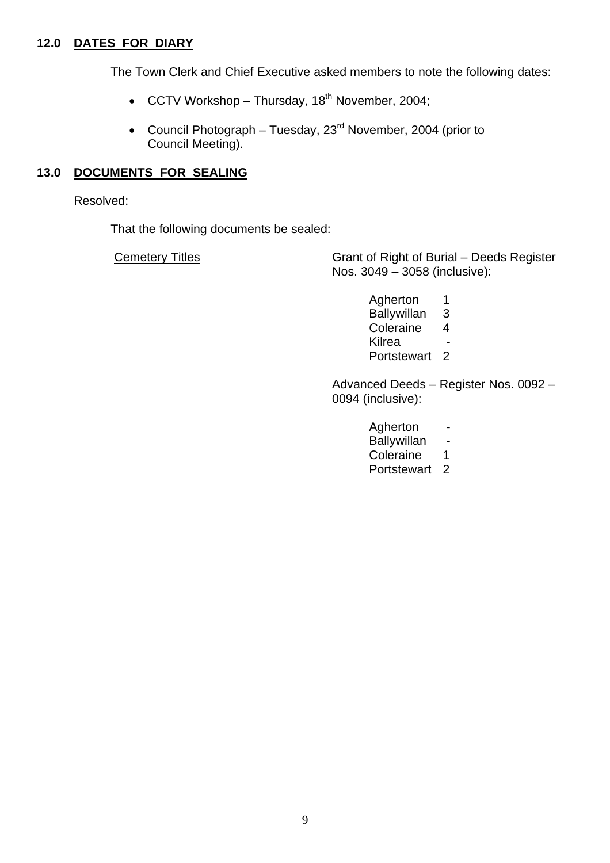# **12.0 DATES FOR DIARY**

The Town Clerk and Chief Executive asked members to note the following dates:

- CCTV Workshop Thursday,  $18<sup>th</sup>$  November, 2004;
- Council Photograph Tuesday,  $23<sup>rd</sup>$  November, 2004 (prior to Council Meeting).

#### **13.0 DOCUMENTS FOR SEALING**

Resolved:

That the following documents be sealed:

Cemetery Titles Grant of Right of Burial – Deeds Register Nos. 3049 – 3058 (inclusive):

 Agherton 1 Ballywillan 3 Coleraine 4 e de la contrata de la contrata de la contrata de la contrata de la contrata de la contrata de la contrata de<br>En la contrata de la contrata de la contrata de la contrata de la contrata de la contrata de la contrata de la Portstewart 2

> Advanced Deeds – Register Nos. 0092 – 0094 (inclusive):

- Agherton -
- Ballywillan -
- Coleraine 1
- Portstewart<sub>2</sub>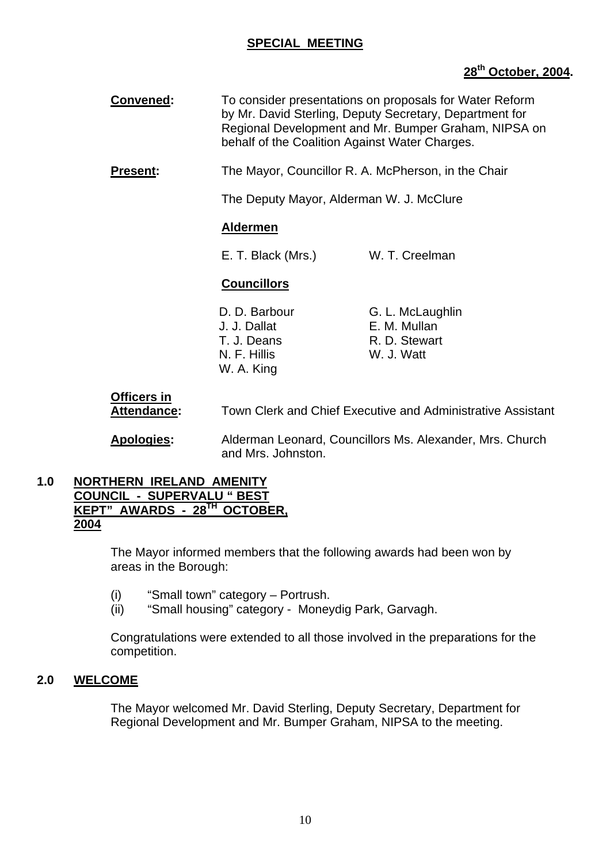# **SPECIAL MEETING**

# **28th October, 2004.**

- **Convened:** To consider presentations on proposals for Water Reform by Mr. David Sterling, Deputy Secretary, Department for Regional Development and Mr. Bumper Graham, NIPSA on behalf of the Coalition Against Water Charges. **Present:** The Mayor, Councillor R. A. McPherson, in the Chair The Deputy Mayor, Alderman W. J. McClure **Aldermen** E. T. Black (Mrs.) W. T. Creelman **Councillors** D. D. Barbour **G. L. McLaughlin** J. J. Dallat E. M. Mullan T. J. Deans R. D. Stewart
	- N. F. Hillis W. J. Watt

 **Officers in Attendance:** Town Clerk and Chief Executive and Administrative Assistant

 **Apologies:** Alderman Leonard, Councillors Ms. Alexander, Mrs. Church and Mrs. Johnston.

#### **1.0 NORTHERN IRELAND AMENITY COUNCIL - SUPERVALU " BEST KEPT" AWARDS - 28TH OCTOBER, 2004**

The Mayor informed members that the following awards had been won by areas in the Borough:

(i) "Small town" category – Portrush.

W. A. King

(ii) "Small housing" category - Moneydig Park, Garvagh.

Congratulations were extended to all those involved in the preparations for the competition.

#### **2.0 WELCOME**

The Mayor welcomed Mr. David Sterling, Deputy Secretary, Department for Regional Development and Mr. Bumper Graham, NIPSA to the meeting.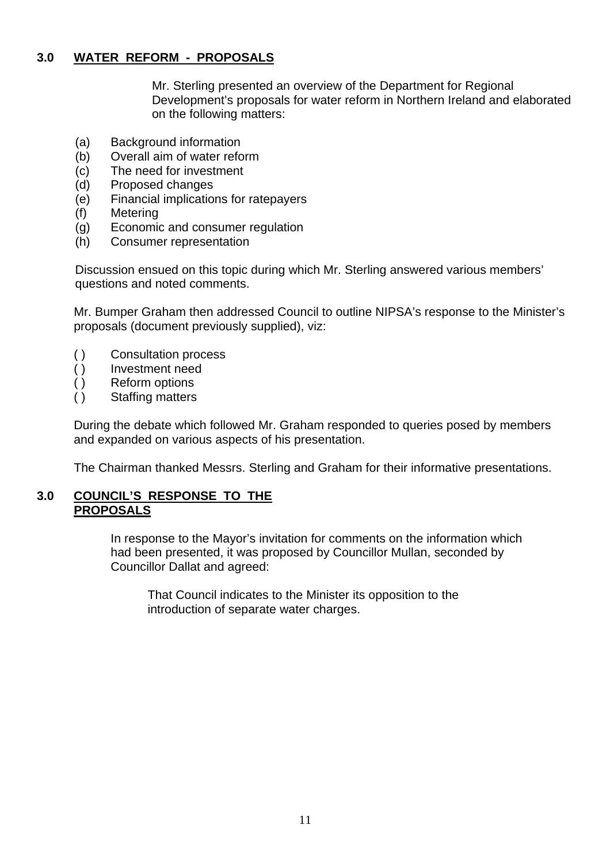# **3.0 WATER REFORM - PROPOSALS**

Mr. Sterling presented an overview of the Department for Regional Development's proposals for water reform in Northern Ireland and elaborated on the following matters:

- (a) Background information
- (b) Overall aim of water reform
- (c) The need for investment
- (d) Proposed changes
- (e) Financial implications for ratepayers
- (f) Metering
- (g) Economic and consumer regulation
- (h) Consumer representation

Discussion ensued on this topic during which Mr. Sterling answered various members' questions and noted comments.

Mr. Bumper Graham then addressed Council to outline NIPSA's response to the Minister's proposals (document previously supplied), viz:

- ( ) Consultation process
- ( ) Investment need
- ( ) Reform options
- ( ) Staffing matters

During the debate which followed Mr. Graham responded to queries posed by members and expanded on various aspects of his presentation.

The Chairman thanked Messrs. Sterling and Graham for their informative presentations.

# **3.0 COUNCIL'S RESPONSE TO THE PROPOSALS**

In response to the Mayor's invitation for comments on the information which had been presented, it was proposed by Councillor Mullan, seconded by Councillor Dallat and agreed:

 That Council indicates to the Minister its opposition to the introduction of separate water charges.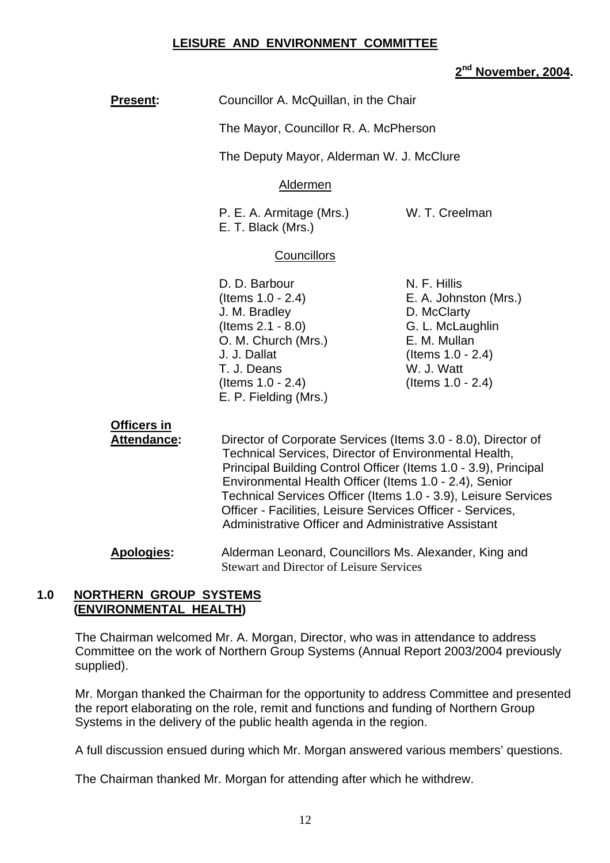#### **LEISURE AND ENVIRONMENT COMMITTEE**

## **2nd November, 2004.**

| <b>Present:</b> | Councillor A. McQuillan, in the Chair |
|-----------------|---------------------------------------|
|-----------------|---------------------------------------|

The Mayor, Councillor R. A. McPherson

The Deputy Mayor, Alderman W. J. McClure

#### Aldermen

P. E. A. Armitage (Mrs.) W. T. Creelman E. T. Black (Mrs.)

#### **Councillors**

- D. D. Barbour N. F. Hillis J. M. Bradley D. McClarty (Items 2.1 - 8.0) G. L. McLaughlin O. M. Church (Mrs.) E. M. Mullan J. J. Dallat (Items 1.0 - 2.4) T. J. Deans W. J. Watt (Items 1.0 - 2.4) (Items 1.0 - 2.4) E. P. Fielding (Mrs.)
- (Items 1.0 2.4) E. A. Johnston (Mrs.)

**Officers in**

 **Attendance:** Director of Corporate Services (Items 3.0 - 8.0), Director of Technical Services, Director of Environmental Health, Principal Building Control Officer (Items 1.0 - 3.9), Principal Environmental Health Officer (Items 1.0 - 2.4), Senior Technical Services Officer (Items 1.0 - 3.9), Leisure Services Officer - Facilities, Leisure Services Officer - Services, Administrative Officer and Administrative Assistant

 **Apologies:** Alderman Leonard, Councillors Ms. Alexander, King and Stewart and Director of Leisure Services

#### **1.0 NORTHERN GROUP SYSTEMS (ENVIRONMENTAL HEALTH)**

The Chairman welcomed Mr. A. Morgan, Director, who was in attendance to address Committee on the work of Northern Group Systems (Annual Report 2003/2004 previously supplied).

Mr. Morgan thanked the Chairman for the opportunity to address Committee and presented the report elaborating on the role, remit and functions and funding of Northern Group Systems in the delivery of the public health agenda in the region.

A full discussion ensued during which Mr. Morgan answered various members' questions.

The Chairman thanked Mr. Morgan for attending after which he withdrew.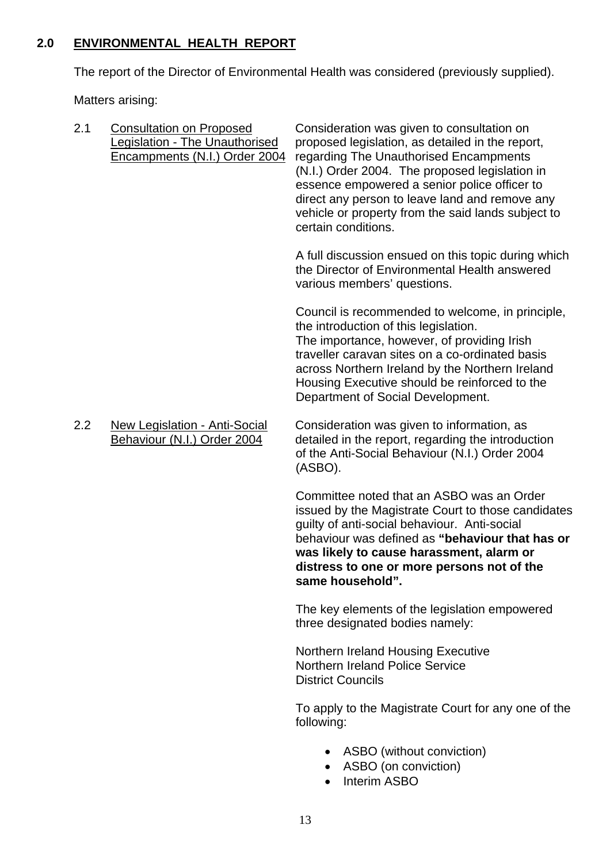# **2.0 ENVIRONMENTAL HEALTH REPORT**

The report of the Director of Environmental Health was considered (previously supplied).

Matters arising:

| 2.1 | <b>Consultation on Proposed</b><br>Legislation - The Unauthorised<br>Encampments (N.I.) Order 2004 | Consideration was given to consultation on<br>proposed legislation, as detailed in the report,<br>regarding The Unauthorised Encampments<br>(N.I.) Order 2004. The proposed legislation in<br>essence empowered a senior police officer to<br>direct any person to leave land and remove any<br>vehicle or property from the said lands subject to<br>certain conditions. |
|-----|----------------------------------------------------------------------------------------------------|---------------------------------------------------------------------------------------------------------------------------------------------------------------------------------------------------------------------------------------------------------------------------------------------------------------------------------------------------------------------------|
|     |                                                                                                    | A full discussion ensued on this topic during which<br>the Director of Environmental Health answered<br>various members' questions.                                                                                                                                                                                                                                       |
|     |                                                                                                    | Council is recommended to welcome, in principle,<br>the introduction of this legislation.<br>The importance, however, of providing Irish<br>traveller caravan sites on a co-ordinated basis<br>across Northern Ireland by the Northern Ireland<br>Housing Executive should be reinforced to the<br>Department of Social Development.                                      |
| 2.2 | <b>New Legislation - Anti-Social</b><br>Behaviour (N.I.) Order 2004                                | Consideration was given to information, as<br>detailed in the report, regarding the introduction<br>of the Anti-Social Behaviour (N.I.) Order 2004<br>(ASBO).                                                                                                                                                                                                             |
|     |                                                                                                    | Committee noted that an ASBO was an Order<br>issued by the Magistrate Court to those candidates<br>guilty of anti-social behaviour. Anti-social<br>behaviour was defined as "behaviour that has or<br>was likely to cause harassment, alarm or<br>distress to one or more persons not of the<br>same household".                                                          |
|     |                                                                                                    | The key elements of the legislation empowered<br>three designated bodies namely:                                                                                                                                                                                                                                                                                          |
|     |                                                                                                    | <b>Northern Ireland Housing Executive</b><br><b>Northern Ireland Police Service</b><br><b>District Councils</b>                                                                                                                                                                                                                                                           |
|     |                                                                                                    | To apply to the Magistrate Court for any one of the<br>following:                                                                                                                                                                                                                                                                                                         |
|     |                                                                                                    | ASBO (without conviction)<br>ASBO (on conviction)<br><b>Interim ASBO</b>                                                                                                                                                                                                                                                                                                  |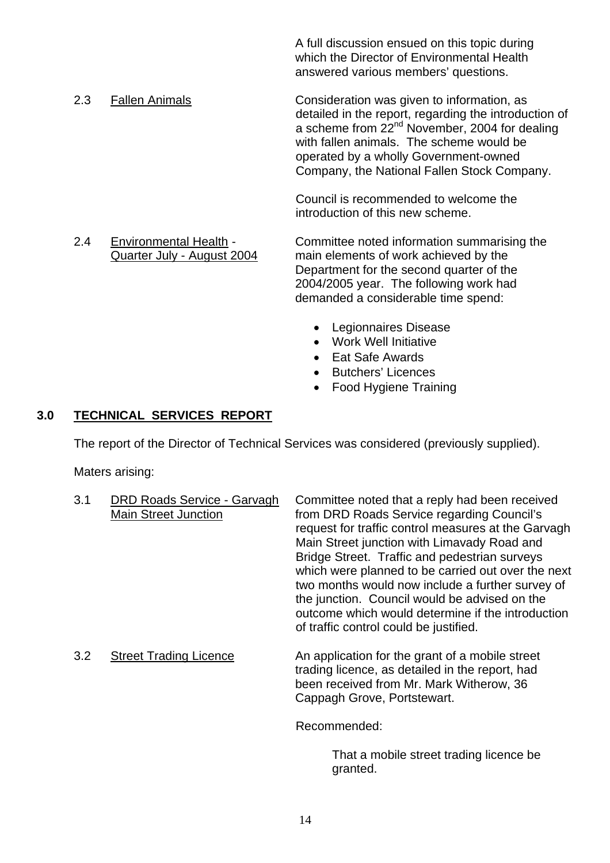A full discussion ensued on this topic during which the Director of Environmental Health answered various members' questions.

2.3 Fallen Animals Consideration was given to information, as detailed in the report, regarding the introduction of a scheme from 22<sup>nd</sup> November, 2004 for dealing with fallen animals. The scheme would be operated by a wholly Government-owned Company, the National Fallen Stock Company.

> Council is recommended to welcome the introduction of this new scheme.

- 2.4 Environmental Health Committee noted information summarising the Quarter July - August 2004 main elements of work achieved by the Department for the second quarter of the 2004/2005 year. The following work had demanded a considerable time spend:
	- Legionnaires Disease
	- Work Well Initiative
	- Eat Safe Awards
	- Butchers' Licences
	- Food Hygiene Training

#### **3.0 TECHNICAL SERVICES REPORT**

The report of the Director of Technical Services was considered (previously supplied).

Maters arising:

| 3.1 | <b>DRD Roads Service - Garvagh</b><br><b>Main Street Junction</b> | Committee noted that a reply had been received<br>from DRD Roads Service regarding Council's<br>request for traffic control measures at the Garvagh<br>Main Street junction with Limavady Road and<br>Bridge Street. Traffic and pedestrian surveys<br>which were planned to be carried out over the next<br>two months would now include a further survey of<br>the junction. Council would be advised on the<br>outcome which would determine if the introduction<br>of traffic control could be justified. |
|-----|-------------------------------------------------------------------|---------------------------------------------------------------------------------------------------------------------------------------------------------------------------------------------------------------------------------------------------------------------------------------------------------------------------------------------------------------------------------------------------------------------------------------------------------------------------------------------------------------|
| 3.2 | <b>Street Trading Licence</b>                                     | An application for the grant of a mobile street<br>trading licence, as detailed in the report, had<br>been received from Mr. Mark Witherow, 36<br>Cappagh Grove, Portstewart.                                                                                                                                                                                                                                                                                                                                 |
|     |                                                                   | Recommended:                                                                                                                                                                                                                                                                                                                                                                                                                                                                                                  |

 That a mobile street trading licence be granted.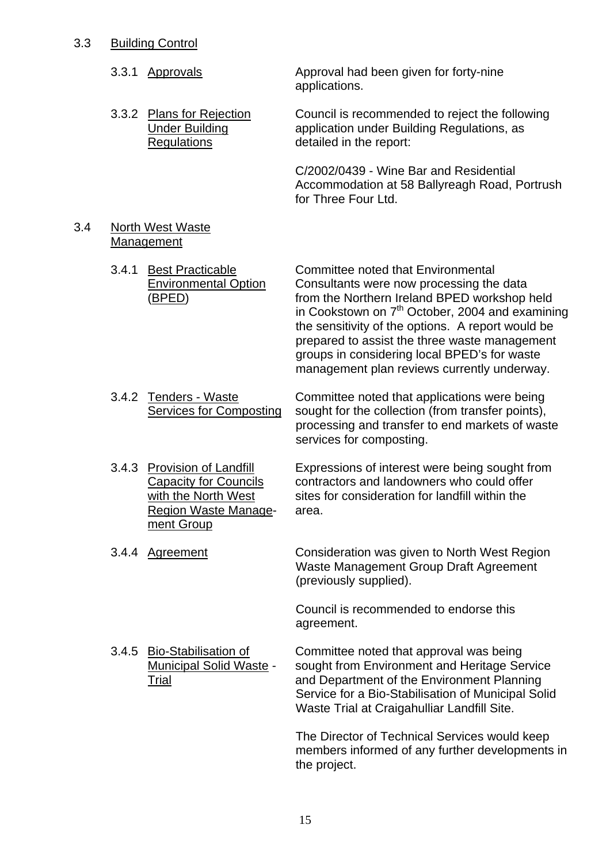| 3.3 | <b>Building Control</b> |  |
|-----|-------------------------|--|
|     |                         |  |

|     |       | 3.3.1 Approvals                                                                                                          | Approval had been given for forty-nine<br>applications.                                                                                                                                                                                                                                                                                                                                            |
|-----|-------|--------------------------------------------------------------------------------------------------------------------------|----------------------------------------------------------------------------------------------------------------------------------------------------------------------------------------------------------------------------------------------------------------------------------------------------------------------------------------------------------------------------------------------------|
|     |       | 3.3.2 Plans for Rejection<br><b>Under Building</b><br>Regulations                                                        | Council is recommended to reject the following<br>application under Building Regulations, as<br>detailed in the report:                                                                                                                                                                                                                                                                            |
|     |       |                                                                                                                          | C/2002/0439 - Wine Bar and Residential<br>Accommodation at 58 Ballyreagh Road, Portrush<br>for Three Four Ltd.                                                                                                                                                                                                                                                                                     |
| 3.4 |       | <b>North West Waste</b><br><b>Management</b>                                                                             |                                                                                                                                                                                                                                                                                                                                                                                                    |
|     | 3.4.1 | <b>Best Practicable</b><br><b>Environmental Option</b><br><u>(BPED)</u>                                                  | Committee noted that Environmental<br>Consultants were now processing the data<br>from the Northern Ireland BPED workshop held<br>in Cookstown on 7 <sup>th</sup> October, 2004 and examining<br>the sensitivity of the options. A report would be<br>prepared to assist the three waste management<br>groups in considering local BPED's for waste<br>management plan reviews currently underway. |
|     |       | 3.4.2 Tenders - Waste<br><b>Services for Composting</b>                                                                  | Committee noted that applications were being<br>sought for the collection (from transfer points),<br>processing and transfer to end markets of waste<br>services for composting.                                                                                                                                                                                                                   |
|     |       | 3.4.3 Provision of Landfill<br><b>Capacity for Councils</b><br>with the North West<br>Region Waste Manage-<br>ment Group | Expressions of interest were being sought from<br>contractors and landowners who could offer<br>sites for consideration for landfill within the<br>area.                                                                                                                                                                                                                                           |
|     |       | 3.4.4 Agreement                                                                                                          | Consideration was given to North West Region<br>Waste Management Group Draft Agreement<br>(previously supplied).                                                                                                                                                                                                                                                                                   |
|     |       |                                                                                                                          | Council is recommended to endorse this<br>agreement.                                                                                                                                                                                                                                                                                                                                               |
|     |       | 3.4.5 Bio-Stabilisation of<br><b>Municipal Solid Waste -</b><br><u>Trial</u>                                             | Committee noted that approval was being<br>sought from Environment and Heritage Service<br>and Department of the Environment Planning<br>Service for a Bio-Stabilisation of Municipal Solid<br>Waste Trial at Craigahulliar Landfill Site.                                                                                                                                                         |
|     |       |                                                                                                                          | The Director of Technical Services would keep<br>members informed of any further developments in<br>the project.                                                                                                                                                                                                                                                                                   |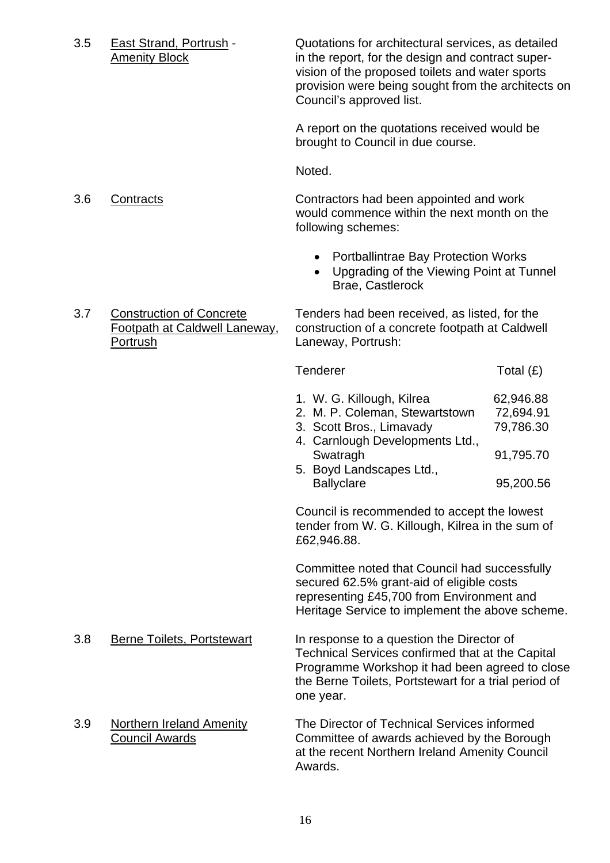3.5 East Strand, Portrush - Quotations for architectural services, as detailed Amenity Block in the report, for the design and contract supervision of the proposed toilets and water sports provision were being sought from the architects on Council's approved list.

> A report on the quotations received would be brought to Council in due course.

Noted.

 3.6 Contracts Contractors had been appointed and work would commence within the next month on the following schemes:

- Portballintrae Bay Protection Works
- Upgrading of the Viewing Point at Tunnel Brae, Castlerock
- Portrush Laneway, Portrush:

3.7 Construction of Concrete Tenders had been received, as listed, for the Footpath at Caldwell Laneway, construction of a concrete footpath at Caldwell

| Tenderer                        | Total $(E)$ |
|---------------------------------|-------------|
| 1. W. G. Killough, Kilrea       | 62,946.88   |
| 2. M. P. Coleman, Stewartstown  | 72,694.91   |
| 3. Scott Bros., Limavady        | 79,786.30   |
| 4. Carnlough Developments Ltd., |             |
| Swatragh                        | 91,795.70   |
| 5. Boyd Landscapes Ltd.,        |             |
| <b>Ballyclare</b>               | 95,200.56   |

Council is recommended to accept the lowest tender from W. G. Killough, Kilrea in the sum of £62,946.88.

Committee noted that Council had successfully secured 62.5% grant-aid of eligible costs representing £45,700 from Environment and Heritage Service to implement the above scheme.

- 3.8 Berne Toilets, Portstewart In response to a question the Director of Technical Services confirmed that at the Capital Programme Workshop it had been agreed to close the Berne Toilets, Portstewart for a trial period of one year.
- 3.9 Northern Ireland Amenity The Director of Technical Services informed Council Awards Committee of awards achieved by the Borough at the recent Northern Ireland Amenity Council Awards.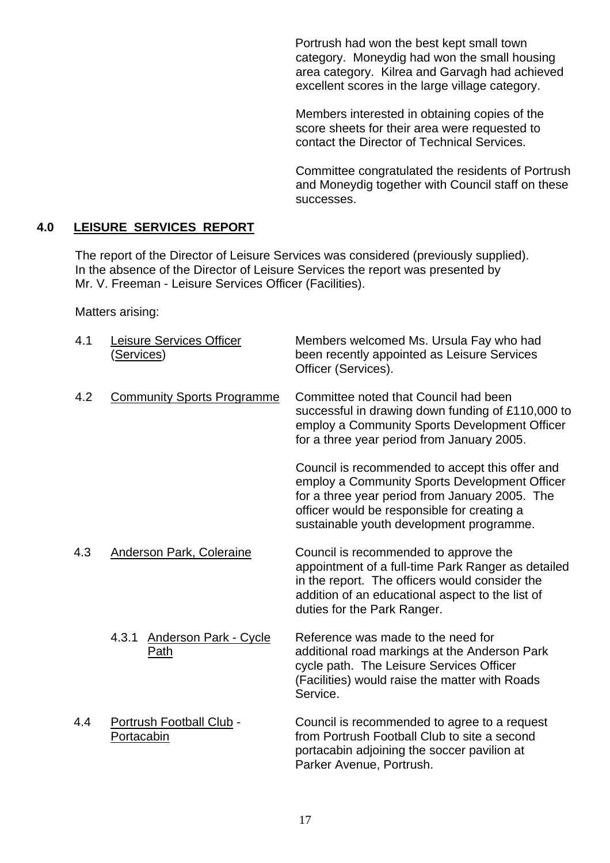Portrush had won the best kept small town category. Moneydig had won the small housing area category. Kilrea and Garvagh had achieved excellent scores in the large village category.

Members interested in obtaining copies of the score sheets for their area were requested to contact the Director of Technical Services.

Committee congratulated the residents of Portrush and Moneydig together with Council staff on these successes.

# **4.0 LEISURE SERVICES REPORT**

The report of the Director of Leisure Services was considered (previously supplied). In the absence of the Director of Leisure Services the report was presented by Mr. V. Freeman - Leisure Services Officer (Facilities).

Matters arising:

| 4.1 | <b>Leisure Services Officer</b><br><u>(Services)</u> | Members welcomed Ms. Ursula Fay who had<br>been recently appointed as Leisure Services<br>Officer (Services).                                                                                                                                 |
|-----|------------------------------------------------------|-----------------------------------------------------------------------------------------------------------------------------------------------------------------------------------------------------------------------------------------------|
| 4.2 | <b>Community Sports Programme</b>                    | Committee noted that Council had been<br>successful in drawing down funding of £110,000 to<br>employ a Community Sports Development Officer<br>for a three year period from January 2005.                                                     |
|     |                                                      | Council is recommended to accept this offer and<br>employ a Community Sports Development Officer<br>for a three year period from January 2005. The<br>officer would be responsible for creating a<br>sustainable youth development programme. |
| 4.3 | Anderson Park, Coleraine                             | Council is recommended to approve the<br>appointment of a full-time Park Ranger as detailed<br>in the report. The officers would consider the<br>addition of an educational aspect to the list of<br>duties for the Park Ranger.              |
|     | <b>Anderson Park - Cycle</b><br>4.3.1<br>Path        | Reference was made to the need for<br>additional road markings at the Anderson Park<br>cycle path. The Leisure Services Officer<br>(Facilities) would raise the matter with Roads<br>Service.                                                 |
| 4.4 | Portrush Football Club -<br>Portacabin               | Council is recommended to agree to a request<br>from Portrush Football Club to site a second<br>portacabin adjoining the soccer pavilion at<br>Parker Avenue, Portrush.                                                                       |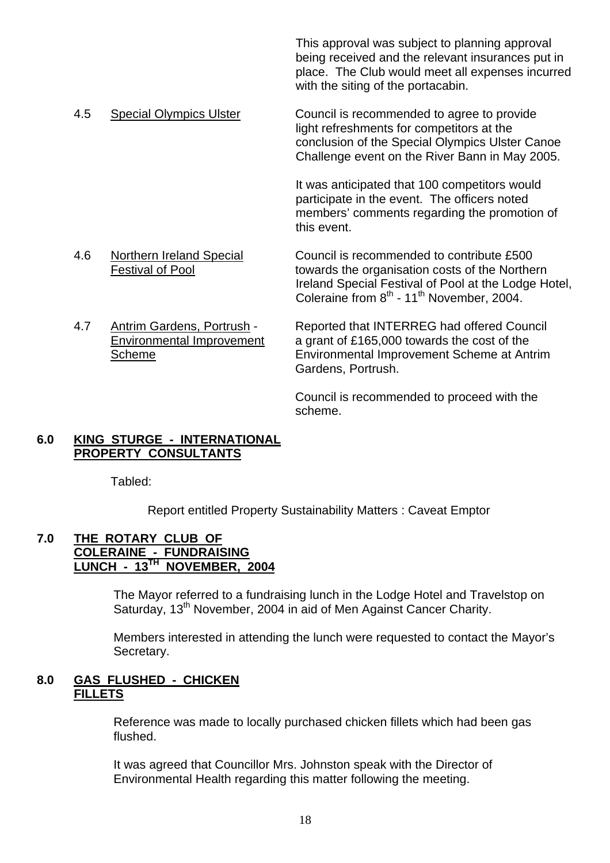This approval was subject to planning approval being received and the relevant insurances put in place. The Club would meet all expenses incurred with the siting of the portacabin.

 4.5 Special Olympics Ulster Council is recommended to agree to provide light refreshments for competitors at the conclusion of the Special Olympics Ulster Canoe Challenge event on the River Bann in May 2005.

> It was anticipated that 100 competitors would participate in the event. The officers noted members' comments regarding the promotion of this event.

- 4.6 Northern Ireland Special Council is recommended to contribute £500 Festival of Pool towards the organisation costs of the Northern Ireland Special Festival of Pool at the Lodge Hotel, Coleraine from  $8^{th}$  - 11<sup>th</sup> November, 2004.
- 4.7 Antrim Gardens, Portrush Reported that INTERREG had offered Council Environmental Improvement a grant of £165,000 towards the cost of the Scheme Environmental Improvement Scheme at Antrim Gardens, Portrush.

 Council is recommended to proceed with the scheme.

# **6.0 KING STURGE - INTERNATIONAL PROPERTY CONSULTANTS**

Tabled:

Report entitled Property Sustainability Matters : Caveat Emptor

#### **7.0 THE ROTARY CLUB OF COLERAINE - FUNDRAISING LUNCH - 13TH NOVEMBER, 2004**

The Mayor referred to a fundraising lunch in the Lodge Hotel and Travelstop on Saturday, 13<sup>th</sup> November, 2004 in aid of Men Against Cancer Charity.

Members interested in attending the lunch were requested to contact the Mayor's Secretary.

# **8.0 GAS FLUSHED - CHICKEN FILLETS**

Reference was made to locally purchased chicken fillets which had been gas flushed.

It was agreed that Councillor Mrs. Johnston speak with the Director of Environmental Health regarding this matter following the meeting.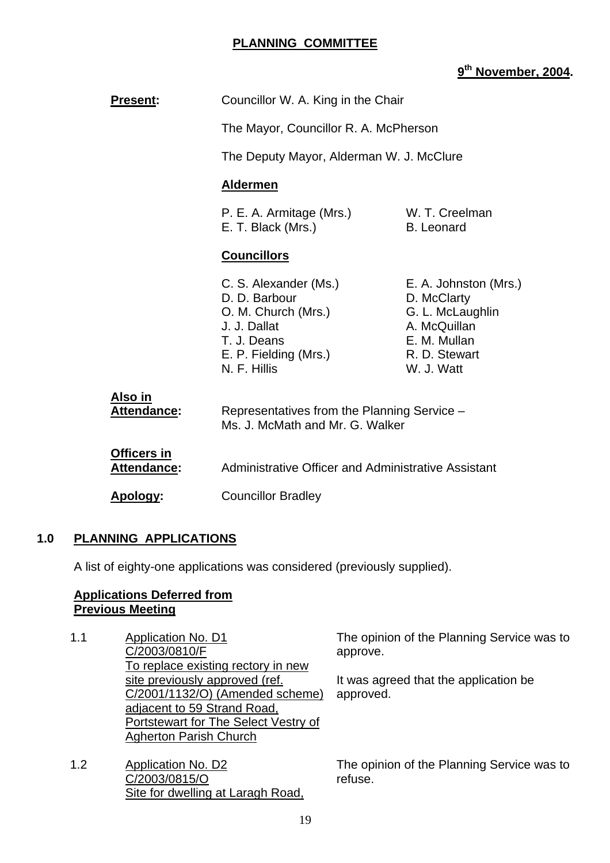# **PLANNING COMMITTEE**

# **9th November, 2004.**

| <b>Present:</b>                          | Councillor W. A. King in the Chair                                                                                                    |                                                                                                                         |
|------------------------------------------|---------------------------------------------------------------------------------------------------------------------------------------|-------------------------------------------------------------------------------------------------------------------------|
|                                          | The Mayor, Councillor R. A. McPherson                                                                                                 |                                                                                                                         |
|                                          | The Deputy Mayor, Alderman W. J. McClure                                                                                              |                                                                                                                         |
|                                          | <b>Aldermen</b>                                                                                                                       |                                                                                                                         |
|                                          | P. E. A. Armitage (Mrs.)<br>W. T. Creelman<br>E. T. Black (Mrs.)<br><b>B.</b> Leonard                                                 |                                                                                                                         |
|                                          | <b>Councillors</b>                                                                                                                    |                                                                                                                         |
|                                          | C. S. Alexander (Ms.)<br>D. D. Barbour<br>O. M. Church (Mrs.)<br>J. J. Dallat<br>T. J. Deans<br>E. P. Fielding (Mrs.)<br>N. F. Hillis | E. A. Johnston (Mrs.)<br>D. McClarty<br>G. L. McLaughlin<br>A. McQuillan<br>E. M. Mullan<br>R. D. Stewart<br>W. J. Watt |
| <u>Also in</u><br><b>Attendance:</b>     | Representatives from the Planning Service -<br>Ms. J. McMath and Mr. G. Walker                                                        |                                                                                                                         |
| <b>Officers in</b><br><b>Attendance:</b> | Administrative Officer and Administrative Assistant                                                                                   |                                                                                                                         |
| Apology:                                 | <b>Councillor Bradley</b>                                                                                                             |                                                                                                                         |

#### **1.0 PLANNING APPLICATIONS**

A list of eighty-one applications was considered (previously supplied).

#### **Applications Deferred from Previous Meeting**

- 1.1 Application No. D1 C/2003/0810/F To replace existing rectory in new site previously approved (ref. C/2001/1132/O) (Amended scheme) adjacent to 59 Strand Road, Portstewart for The Select Vestry of Agherton Parish Church
- 1.2 Application No. D2 C/2003/0815/O Site for dwelling at Laragh Road,

The opinion of the Planning Service was to approve.

It was agreed that the application be approved.

The opinion of the Planning Service was to refuse.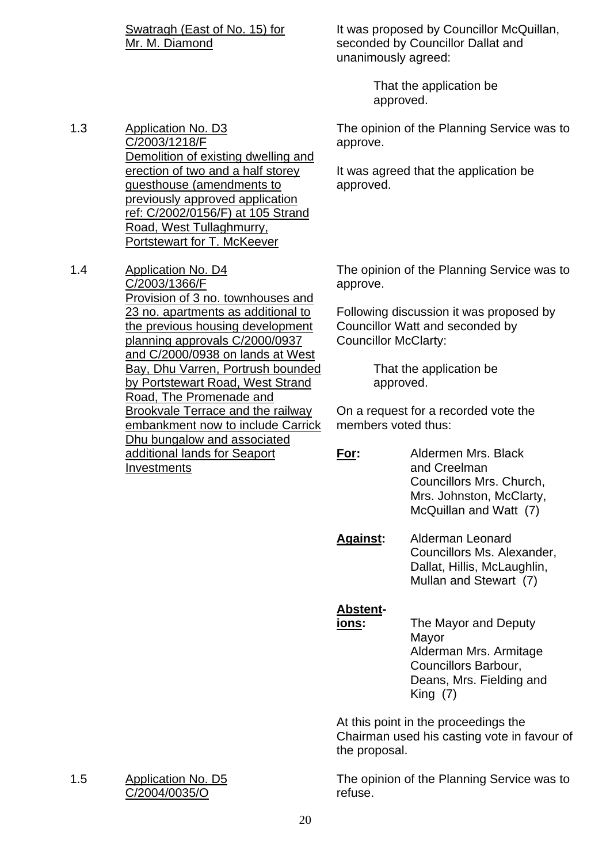Swatragh (East of No. 15) for Mr. M. Diamond

It was proposed by Councillor McQuillan, seconded by Councillor Dallat and unanimously agreed:

> That the application be approved.

The opinion of the Planning Service was to approve.

It was agreed that the application be approved.

1.3 Application No. D3 C/2003/1218/F Demolition of existing dwelling and erection of two and a half storey guesthouse (amendments to previously approved application ref: C/2002/0156/F) at 105 Strand Road, West Tullaghmurry, Portstewart for T. McKeever

1.4 Application No. D4 C/2003/1366/F Provision of 3 no. townhouses and 23 no. apartments as additional to the previous housing development planning approvals C/2000/0937 and C/2000/0938 on lands at West Bay, Dhu Varren, Portrush bounded by Portstewart Road, West Strand Road, The Promenade and Brookvale Terrace and the railway embankment now to include Carrick Dhu bungalow and associated additional lands for Seaport **Investments** 

The opinion of the Planning Service was to approve.

Following discussion it was proposed by Councillor Watt and seconded by Councillor McClarty:

> That the application be approved.

On a request for a recorded vote the members voted thus:

**For:** Aldermen Mrs. Black and Creelman Councillors Mrs. Church, Mrs. Johnston, McClarty, McQuillan and Watt (7)

**Against:** Alderman Leonard Councillors Ms. Alexander, Dallat, Hillis, McLaughlin, Mullan and Stewart (7)

#### **Abstent-**

**ions:** The Mayor and Deputy Mayor Alderman Mrs. Armitage Councillors Barbour, Deans, Mrs. Fielding and King (7)

At this point in the proceedings the Chairman used his casting vote in favour of the proposal.

The opinion of the Planning Service was to refuse.

1.5 Application No. D5 C/2004/0035/O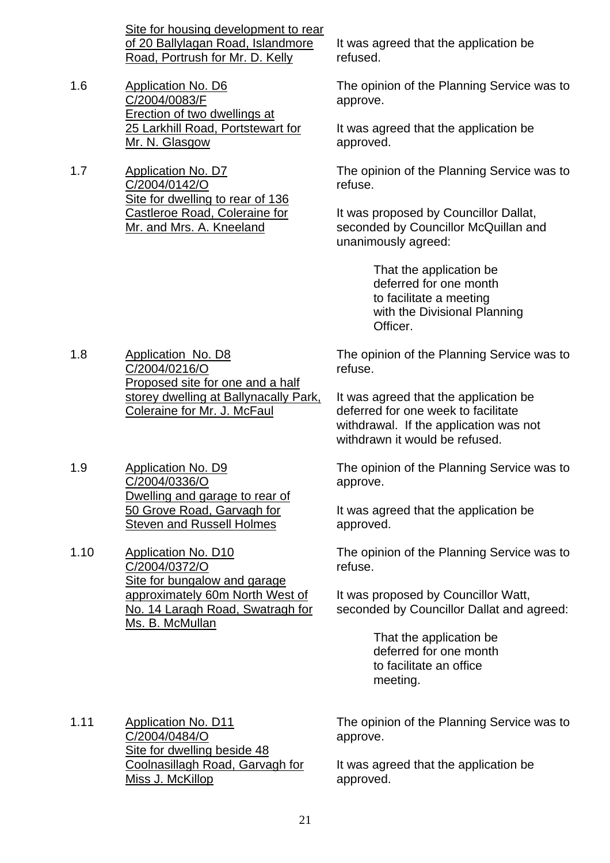Site for housing development to rear of 20 Ballylagan Road, Islandmore Road, Portrush for Mr. D. Kelly

- 1.6 Application No. D6 C/2004/0083/F Erection of two dwellings at 25 Larkhill Road, Portstewart for Mr. N. Glasgow
- 1.7 Application No. D7 C/2004/0142/O Site for dwelling to rear of 136 Castleroe Road, Coleraine for Mr. and Mrs. A. Kneeland

1.8 Application No. D8

1.9 Application No. D9

1.10 Application No. D10

C/2004/0336/O

C/2004/0216/O

Proposed site for one and a half storey dwelling at Ballynacally Park,

Coleraine for Mr. J. McFaul

Dwelling and garage to rear of 50 Grove Road, Garvagh for Steven and Russell Holmes

It was agreed that the application be refused.

The opinion of the Planning Service was to approve.

It was agreed that the application be approved.

The opinion of the Planning Service was to refuse.

It was proposed by Councillor Dallat, seconded by Councillor McQuillan and unanimously agreed:

> That the application be deferred for one month to facilitate a meeting with the Divisional Planning Officer.

The opinion of the Planning Service was to refuse.

It was agreed that the application be deferred for one week to facilitate withdrawal. If the application was not withdrawn it would be refused.

The opinion of the Planning Service was to approve.

It was agreed that the application be approved.

The opinion of the Planning Service was to refuse.

It was proposed by Councillor Watt, seconded by Councillor Dallat and agreed:

> That the application be deferred for one month to facilitate an office meeting.

1.11 Application No. D11 C/2004/0484/O Site for dwelling beside 48 Coolnasillagh Road, Garvagh for Miss J. McKillop

The opinion of the Planning Service was to approve.

It was agreed that the application be approved.

C/2004/0372/O Site for bungalow and garage approximately 60m North West of

No. 14 Laragh Road, Swatragh for Ms. B. McMullan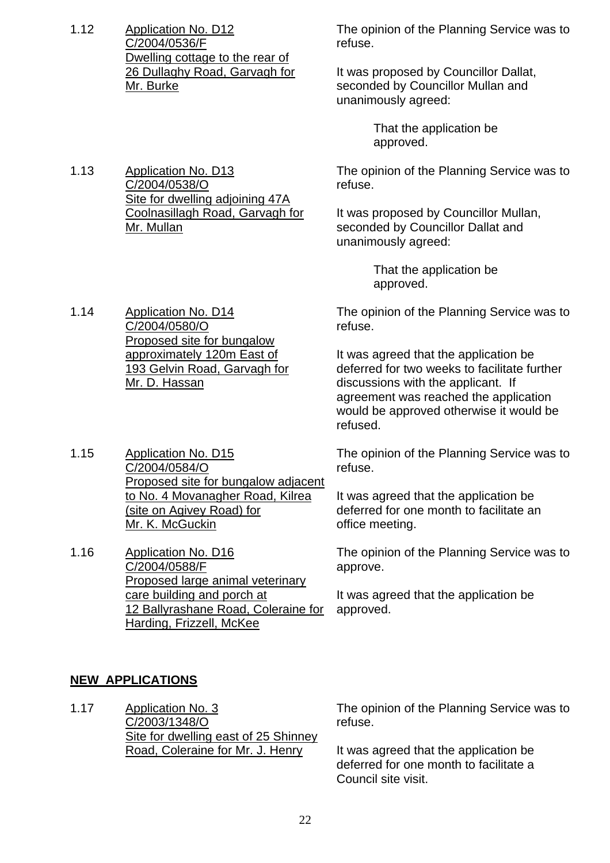1.12 Application No. D12 C/2004/0536/F Dwelling cottage to the rear of 26 Dullaghy Road, Garvagh for Mr. Burke

The opinion of the Planning Service was to refuse.

It was proposed by Councillor Dallat, seconded by Councillor Mullan and unanimously agreed:

> That the application be approved.

The opinion of the Planning Service was to refuse.

It was proposed by Councillor Mullan, seconded by Councillor Dallat and unanimously agreed:

> That the application be approved.

The opinion of the Planning Service was to refuse.

It was agreed that the application be deferred for two weeks to facilitate further discussions with the applicant. If agreement was reached the application would be approved otherwise it would be refused.

The opinion of the Planning Service was to refuse.

It was agreed that the application be deferred for one month to facilitate an office meeting.

The opinion of the Planning Service was to approve.

It was agreed that the application be approved.

1.13 Application No. D13 C/2004/0538/O Site for dwelling adjoining 47A Coolnasillagh Road, Garvagh for Mr. Mullan

1.14 Application No. D14 C/2004/0580/O Proposed site for bungalow approximately 120m East of 193 Gelvin Road, Garvagh for Mr. D. Hassan

1.15 Application No. D15 C/2004/0584/O Proposed site for bungalow adjacent to No. 4 Movanagher Road, Kilrea (site on Agivey Road) for Mr. K. McGuckin

1.16 Application No. D16 C/2004/0588/F Proposed large animal veterinary care building and porch at 12 Ballyrashane Road, Coleraine for Harding, Frizzell, McKee

# **NEW APPLICATIONS**

1.17 Application No. 3 C/2003/1348/O Site for dwelling east of 25 Shinney Road, Coleraine for Mr. J. Henry

The opinion of the Planning Service was to refuse.

It was agreed that the application be deferred for one month to facilitate a Council site visit.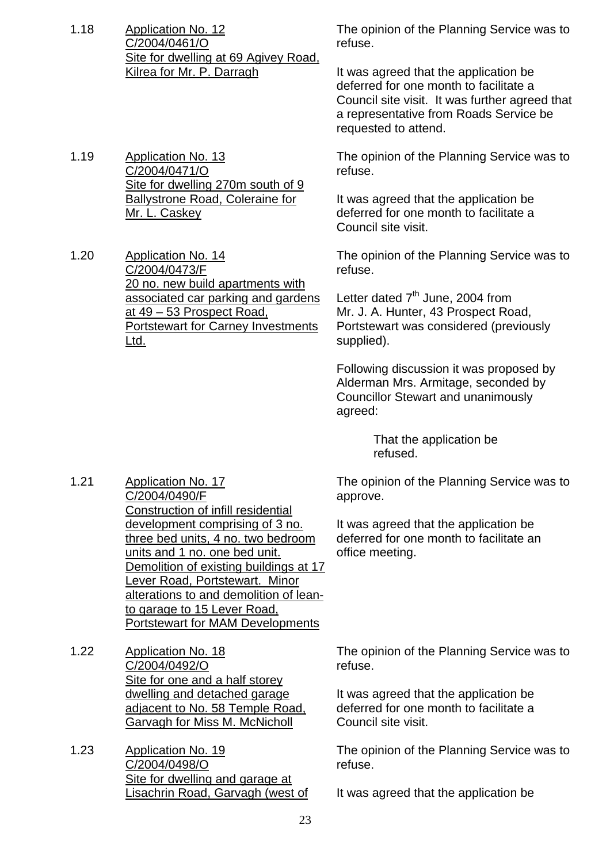- 1.18 Application No. 12 C/2004/0461/O Site for dwelling at 69 Agivey Road, Kilrea for Mr. P. Darragh
- 1.19 Application No. 13 C/2004/0471/O Site for dwelling 270m south of 9 Ballystrone Road, Coleraine for Mr. L. Caskey
- 1.20 Application No. 14 C/2004/0473/F 20 no. new build apartments with associated car parking and gardens at 49 – 53 Prospect Road, Portstewart for Carney Investments Ltd.

The opinion of the Planning Service was to refuse.

It was agreed that the application be deferred for one month to facilitate a Council site visit. It was further agreed that a representative from Roads Service be requested to attend.

The opinion of the Planning Service was to refuse.

It was agreed that the application be deferred for one month to facilitate a Council site visit.

The opinion of the Planning Service was to refuse.

Letter dated  $7<sup>th</sup>$  June, 2004 from Mr. J. A. Hunter, 43 Prospect Road, Portstewart was considered (previously supplied).

Following discussion it was proposed by Alderman Mrs. Armitage, seconded by Councillor Stewart and unanimously agreed:

> That the application be refused.

The opinion of the Planning Service was to approve.

It was agreed that the application be deferred for one month to facilitate an office meeting.

C/2004/0490/F Construction of infill residential development comprising of 3 no. three bed units, 4 no. two bedroom units and 1 no. one bed unit. Demolition of existing buildings at 17 Lever Road, Portstewart. Minor alterations to and demolition of leanto garage to 15 Lever Road, Portstewart for MAM Developments

1.21 Application No. 17

- 1.22 Application No. 18 C/2004/0492/O Site for one and a half storey dwelling and detached garage adjacent to No. 58 Temple Road, Garvagh for Miss M. McNicholl
- 1.23 Application No. 19 C/2004/0498/O Site for dwelling and garage at Lisachrin Road, Garvagh (west of

The opinion of the Planning Service was to refuse.

It was agreed that the application be deferred for one month to facilitate a Council site visit.

The opinion of the Planning Service was to refuse.

It was agreed that the application be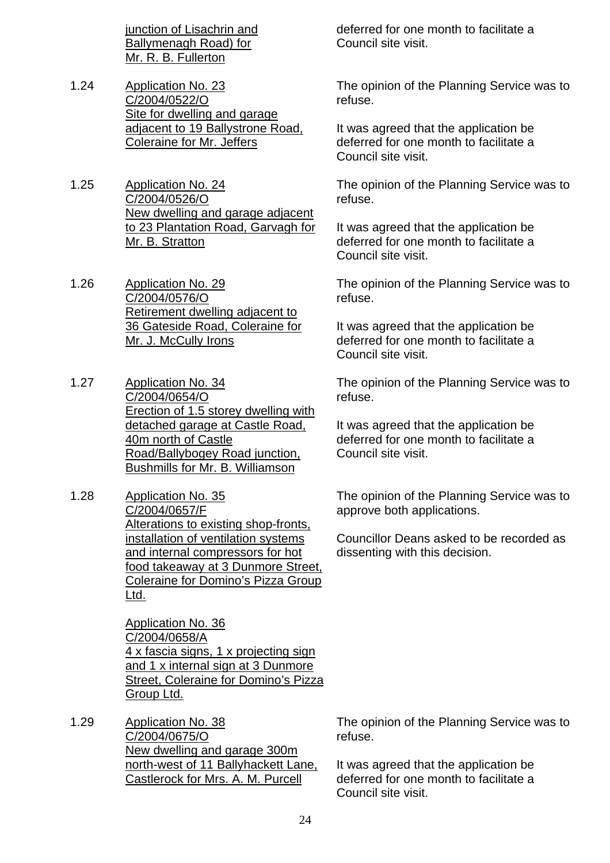junction of Lisachrin and Ballymenagh Road) for Mr. R. B. Fullerton

- 1.24 Application No. 23 C/2004/0522/O Site for dwelling and garage adjacent to 19 Ballystrone Road, Coleraine for Mr. Jeffers
- 1.25 Application No. 24 C/2004/0526/O New dwelling and garage adjacent to 23 Plantation Road, Garvagh for Mr. B. Stratton
- 1.26 Application No. 29 C/2004/0576/O Retirement dwelling adjacent to 36 Gateside Road, Coleraine for Mr. J. McCully Irons
- 1.27 Application No. 34 C/2004/0654/O Erection of 1.5 storey dwelling with detached garage at Castle Road, 40m north of Castle Road/Ballybogey Road junction, Bushmills for Mr. B. Williamson
- 1.28 Application No. 35 C/2004/0657/F Alterations to existing shop-fronts, installation of ventilation systems and internal compressors for hot food takeaway at 3 Dunmore Street, Coleraine for Domino's Pizza Group Ltd.

Application No. 36 C/2004/0658/A 4 x fascia signs, 1 x projecting sign and 1 x internal sign at 3 Dunmore Street, Coleraine for Domino's Pizza Group Ltd.

1.29 Application No. 38 C/2004/0675/O New dwelling and garage 300m north-west of 11 Ballyhackett Lane, Castlerock for Mrs. A. M. Purcell

deferred for one month to facilitate a Council site visit.

The opinion of the Planning Service was to refuse.

It was agreed that the application be deferred for one month to facilitate a Council site visit.

The opinion of the Planning Service was to refuse.

It was agreed that the application be deferred for one month to facilitate a Council site visit.

The opinion of the Planning Service was to refuse.

It was agreed that the application be deferred for one month to facilitate a Council site visit.

The opinion of the Planning Service was to refuse.

It was agreed that the application be deferred for one month to facilitate a Council site visit.

The opinion of the Planning Service was to approve both applications.

Councillor Deans asked to be recorded as dissenting with this decision.

The opinion of the Planning Service was to refuse.

It was agreed that the application be deferred for one month to facilitate a Council site visit.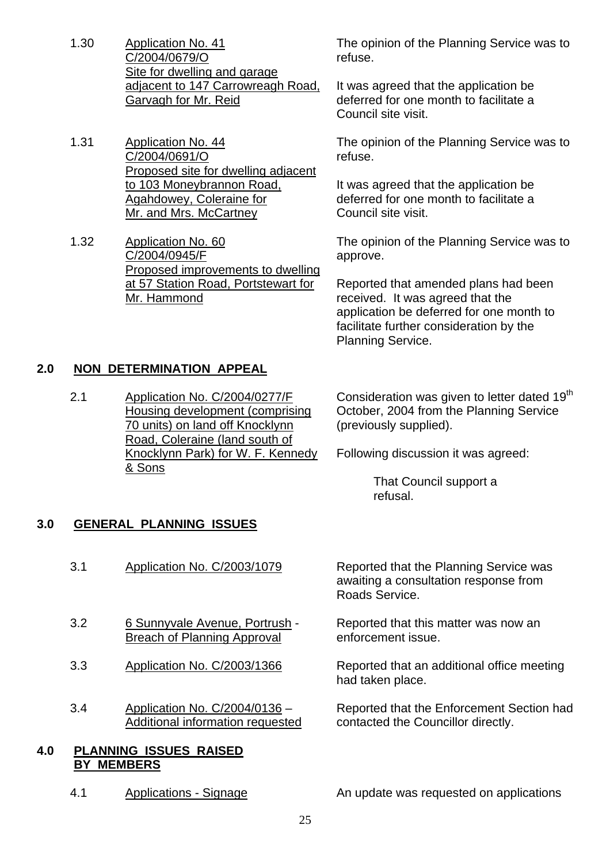- 1.30 Application No. 41 C/2004/0679/O Site for dwelling and garage adjacent to 147 Carrowreagh Road, Garvagh for Mr. Reid
- 1.31 Application No. 44 C/2004/0691/O Proposed site for dwelling adjacent to 103 Moneybrannon Road, Agahdowey, Coleraine for Mr. and Mrs. McCartney
- 1.32 Application No. 60 C/2004/0945/F Proposed improvements to dwelling at 57 Station Road, Portstewart for Mr. Hammond

The opinion of the Planning Service was to refuse.

It was agreed that the application be deferred for one month to facilitate a Council site visit.

The opinion of the Planning Service was to refuse.

It was agreed that the application be deferred for one month to facilitate a Council site visit.

The opinion of the Planning Service was to approve.

Reported that amended plans had been received. It was agreed that the application be deferred for one month to facilitate further consideration by the Planning Service.

# **2.0 NON DETERMINATION APPEAL**

2.1 Application No. C/2004/0277/F Housing development (comprising 70 units) on land off Knocklynn Road, Coleraine (land south of Knocklynn Park) for W. F. Kennedy & Sons

Consideration was given to letter dated 19<sup>th</sup> October, 2004 from the Planning Service (previously supplied).

Following discussion it was agreed:

 That Council support a refusal.

#### **3.0 GENERAL PLANNING ISSUES**

- 3.1 Application No. C/2003/1079 Reported that the Planning Service was awaiting a consultation response from Roads Service. 3.2 6 Sunnyvale Avenue, Portrush - Breach of Planning Approval Reported that this matter was now an enforcement issue. 3.3 Application No. C/2003/1366 Reported that an additional office meeting had taken place. 3.4 Application No. C/2004/0136 – Additional information requested Reported that the Enforcement Section had contacted the Councillor directly. **4.0 PLANNING ISSUES RAISED**
	-

 **BY MEMBERS**

4.1 Applications - Signage An update was requested on applications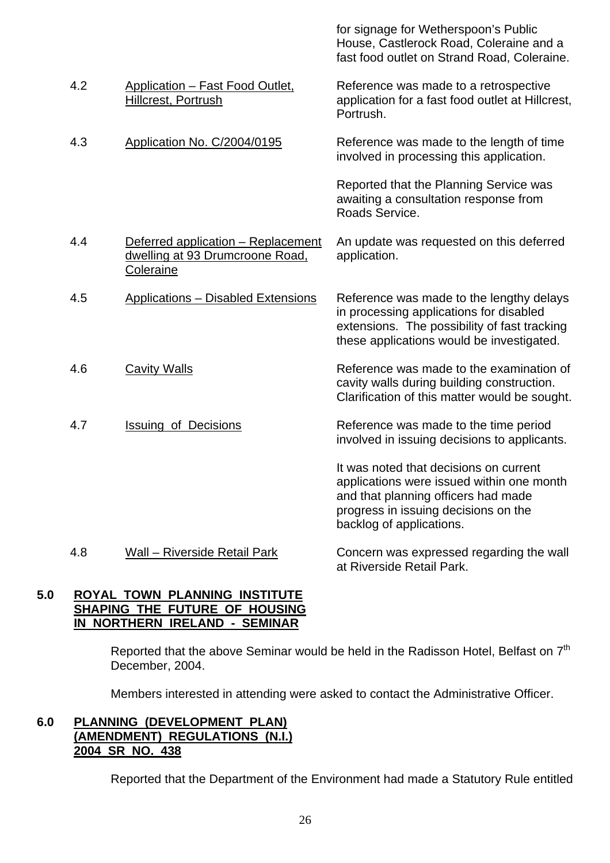|     |                                                                                    | for signage for Wetherspoon's Public<br>House, Castlerock Road, Coleraine and a<br>fast food outlet on Strand Road, Coleraine.                                                                 |
|-----|------------------------------------------------------------------------------------|------------------------------------------------------------------------------------------------------------------------------------------------------------------------------------------------|
| 4.2 | Application - Fast Food Outlet,<br><b>Hillcrest, Portrush</b>                      | Reference was made to a retrospective<br>application for a fast food outlet at Hillcrest,<br>Portrush.                                                                                         |
| 4.3 | Application No. C/2004/0195                                                        | Reference was made to the length of time<br>involved in processing this application.                                                                                                           |
|     |                                                                                    | Reported that the Planning Service was<br>awaiting a consultation response from<br>Roads Service.                                                                                              |
| 4.4 | Deferred application - Replacement<br>dwelling at 93 Drumcroone Road,<br>Coleraine | An update was requested on this deferred<br>application.                                                                                                                                       |
| 4.5 | <b>Applications - Disabled Extensions</b>                                          | Reference was made to the lengthy delays<br>in processing applications for disabled<br>extensions. The possibility of fast tracking<br>these applications would be investigated.               |
| 4.6 | <b>Cavity Walls</b>                                                                | Reference was made to the examination of<br>cavity walls during building construction.<br>Clarification of this matter would be sought.                                                        |
| 4.7 | <b>Issuing of Decisions</b>                                                        | Reference was made to the time period<br>involved in issuing decisions to applicants.                                                                                                          |
|     |                                                                                    | It was noted that decisions on current<br>applications were issued within one month<br>and that planning officers had made<br>progress in issuing decisions on the<br>backlog of applications. |
| 4.8 | <b>Wall - Riverside Retail Park</b>                                                | Concern was expressed regarding the wall                                                                                                                                                       |

#### **5.0 ROYAL TOWN PLANNING INSTITUTE SHAPING THE FUTURE OF HOUSING IN NORTHERN IRELAND - SEMINAR**

Reported that the above Seminar would be held in the Radisson Hotel, Belfast on 7<sup>th</sup> December, 2004.

at Riverside Retail Park.

Members interested in attending were asked to contact the Administrative Officer.

# **6.0 PLANNING (DEVELOPMENT PLAN) (AMENDMENT) REGULATIONS (N.I.) 2004 SR NO. 438**

Reported that the Department of the Environment had made a Statutory Rule entitled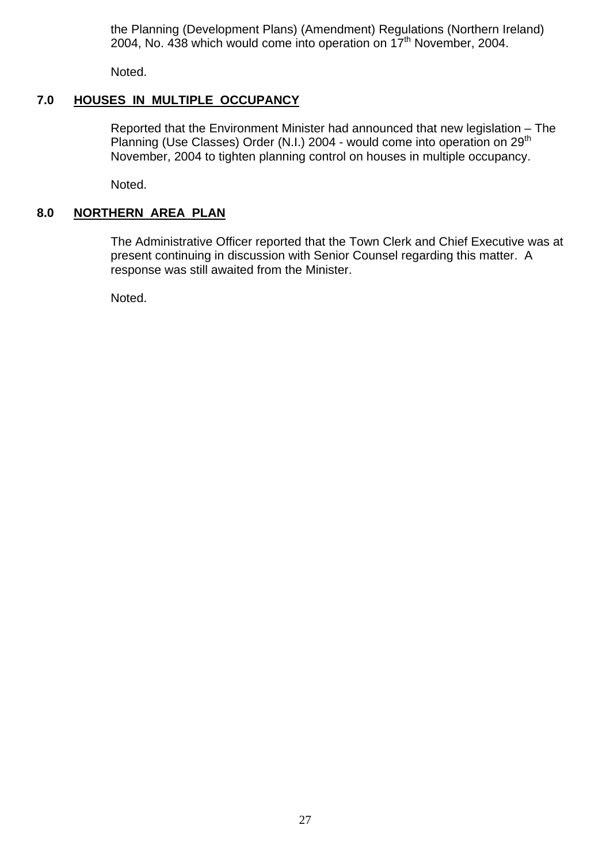the Planning (Development Plans) (Amendment) Regulations (Northern Ireland) 2004, No.  $438$  which would come into operation on  $17<sup>th</sup>$  November, 2004.

Noted.

# **7.0 HOUSES IN MULTIPLE OCCUPANCY**

Reported that the Environment Minister had announced that new legislation – The Planning (Use Classes) Order (N.I.) 2004 - would come into operation on 29<sup>th</sup> November, 2004 to tighten planning control on houses in multiple occupancy.

Noted.

# **8.0 NORTHERN AREA PLAN**

 The Administrative Officer reported that the Town Clerk and Chief Executive was at present continuing in discussion with Senior Counsel regarding this matter. A response was still awaited from the Minister.

Noted.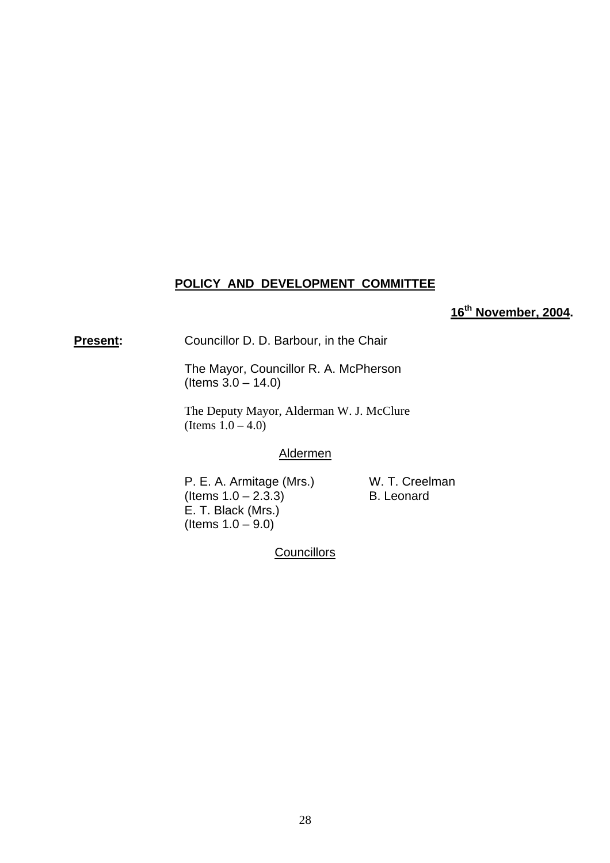# **POLICY AND DEVELOPMENT COMMITTEE**

**16th November, 2004.** 

**Present:** Councillor D. D. Barbour, in the Chair

 The Mayor, Councillor R. A. McPherson  $($  ltems  $3.0 - 14.0)$ 

 The Deputy Mayor, Alderman W. J. McClure (Items  $1.0 - 4.0$ )

#### Aldermen

P. E. A. Armitage (Mrs.) W. T. Creelman  $($ ltems  $1.0 - 2.3.3)$  B. Leonard E. T. Black (Mrs.) (Items  $1.0 - 9.0$ )

**Councillors**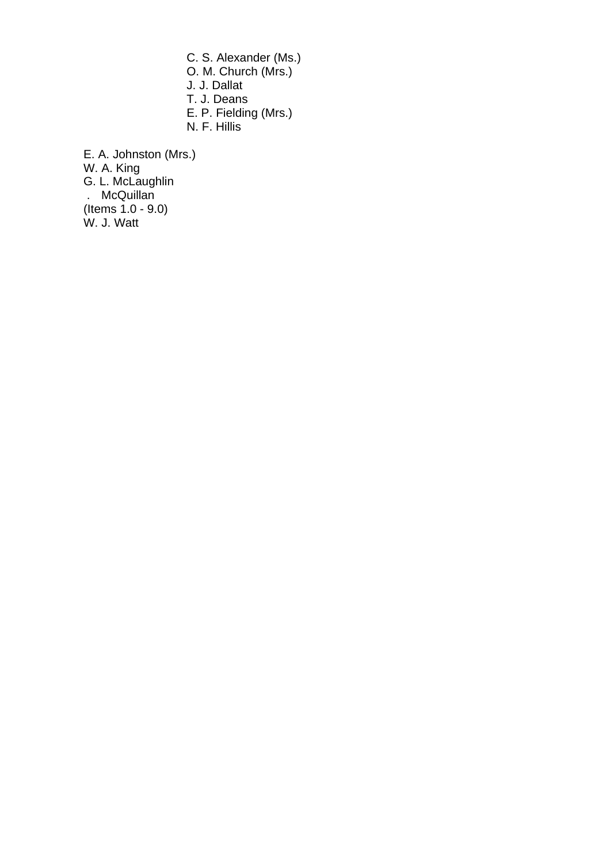C. S. Alexander (Ms.) O. M. Church (Mrs.) J. J. Dallat T. J. Deans E. P. Fielding (Mrs.) N. F. Hillis

E. A. Johnston (Mrs.) W. A. King G. L. McLaughlin . McQuillan (Items 1.0 - 9.0) W. J. Watt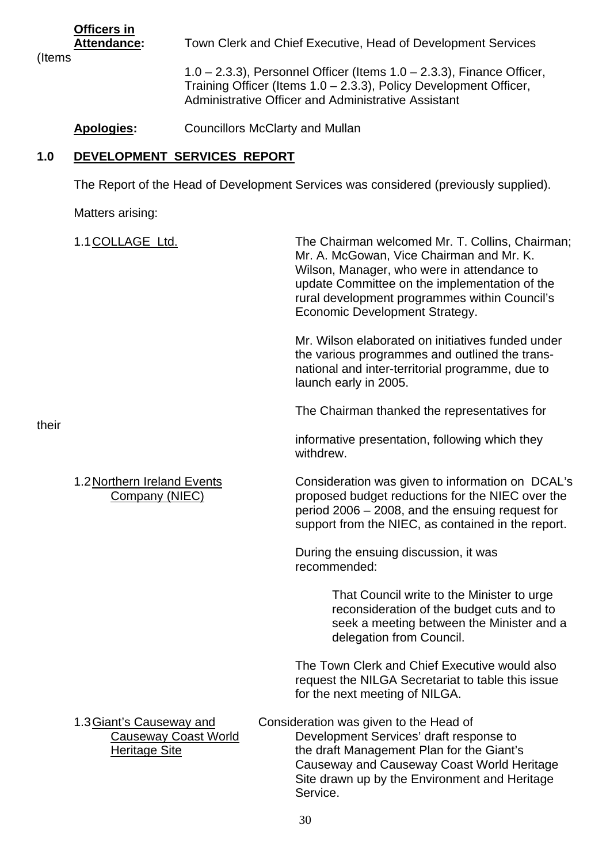**Officers in**

(Items

 **Attendance:** Town Clerk and Chief Executive, Head of Development Services

 1.0 – 2.3.3), Personnel Officer (Items 1.0 – 2.3.3), Finance Officer, Training Officer (Items 1.0 – 2.3.3), Policy Development Officer, Administrative Officer and Administrative Assistant

# Apologies: Councillors McClarty and Mullan

# **1.0 DEVELOPMENT SERVICES REPORT**

The Report of the Head of Development Services was considered (previously supplied).

Matters arising:

| their | 1.1 COLLAGE Ltd.                                                                | The Chairman welcomed Mr. T. Collins, Chairman;<br>Mr. A. McGowan, Vice Chairman and Mr. K.<br>Wilson, Manager, who were in attendance to<br>update Committee on the implementation of the<br>rural development programmes within Council's<br>Economic Development Strategy. |
|-------|---------------------------------------------------------------------------------|-------------------------------------------------------------------------------------------------------------------------------------------------------------------------------------------------------------------------------------------------------------------------------|
|       |                                                                                 | Mr. Wilson elaborated on initiatives funded under<br>the various programmes and outlined the trans-<br>national and inter-territorial programme, due to<br>launch early in 2005.                                                                                              |
|       |                                                                                 | The Chairman thanked the representatives for                                                                                                                                                                                                                                  |
|       |                                                                                 | informative presentation, following which they<br>withdrew.                                                                                                                                                                                                                   |
|       | 1.2 Northern Ireland Events<br>Company (NIEC)                                   | Consideration was given to information on DCAL's<br>proposed budget reductions for the NIEC over the<br>period 2006 - 2008, and the ensuing request for<br>support from the NIEC, as contained in the report.                                                                 |
|       |                                                                                 | During the ensuing discussion, it was<br>recommended:                                                                                                                                                                                                                         |
|       |                                                                                 | That Council write to the Minister to urge<br>reconsideration of the budget cuts and to<br>seek a meeting between the Minister and a<br>delegation from Council.                                                                                                              |
|       |                                                                                 | The Town Clerk and Chief Executive would also<br>request the NILGA Secretariat to table this issue<br>for the next meeting of NILGA.                                                                                                                                          |
|       | 1.3 Giant's Causeway and<br><b>Causeway Coast World</b><br><b>Heritage Site</b> | Consideration was given to the Head of<br>Development Services' draft response to<br>the draft Management Plan for the Giant's<br>Causeway and Causeway Coast World Heritage<br>Site drawn up by the Environment and Heritage<br>Service.                                     |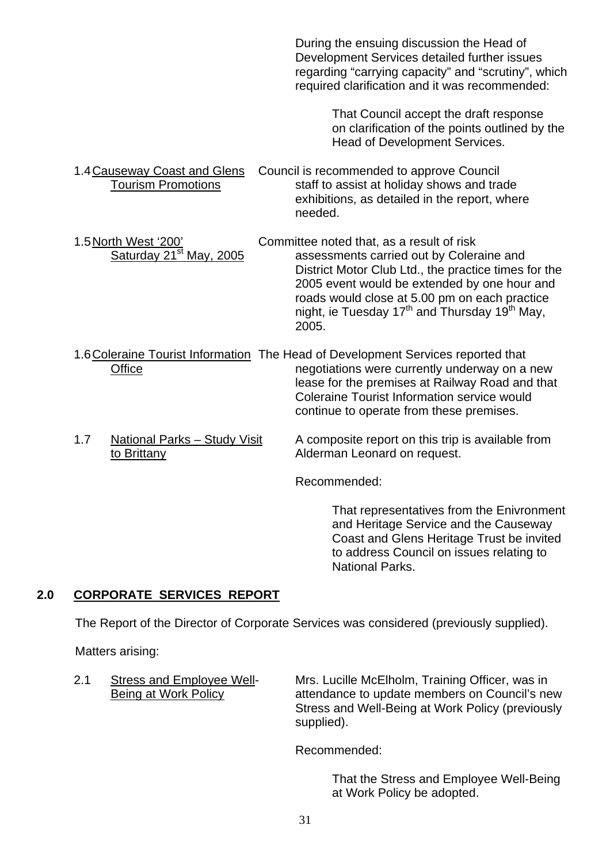During the ensuing discussion the Head of Development Services detailed further issues regarding "carrying capacity" and "scrutiny", which required clarification and it was recommended: That Council accept the draft response on clarification of the points outlined by the Head of Development Services. 1.4 Causeway Coast and Glens Council is recommended to approve Council Tourism Promotions staff to assist at holiday shows and trade exhibitions, as detailed in the report, where needed. 1.5 North West '200' Committee noted that, as a result of risk<br>Saturday 21<sup>st</sup> May. 2005 assessments carried out by Colera assessments carried out by Coleraine and District Motor Club Ltd., the practice times for the 2005 event would be extended by one hour and roads would close at 5.00 pm on each practice night, ie Tuesday  $17<sup>th</sup>$  and Thursday  $19<sup>th</sup>$  May, 2005. 1.6 Coleraine Tourist Information The Head of Development Services reported that Office **negotiations** were currently underway on a new lease for the premises at Railway Road and that Coleraine Tourist Information service would continue to operate from these premises. 1.7 National Parks – Study Visit A composite report on this trip is available from to Brittany Alderman Leonard on request. Recommended:

> That representatives from the Enivronment and Heritage Service and the Causeway Coast and Glens Heritage Trust be invited to address Council on issues relating to National Parks.

# **2.0 CORPORATE SERVICES REPORT**

The Report of the Director of Corporate Services was considered (previously supplied).

Matters arising:

 2.1 Stress and Employee Well- Mrs. Lucille McElholm, Training Officer, was in Being at Work Policy attendance to update members on Council's new Stress and Well-Being at Work Policy (previously supplied).

Recommended:

 That the Stress and Employee Well-Being at Work Policy be adopted.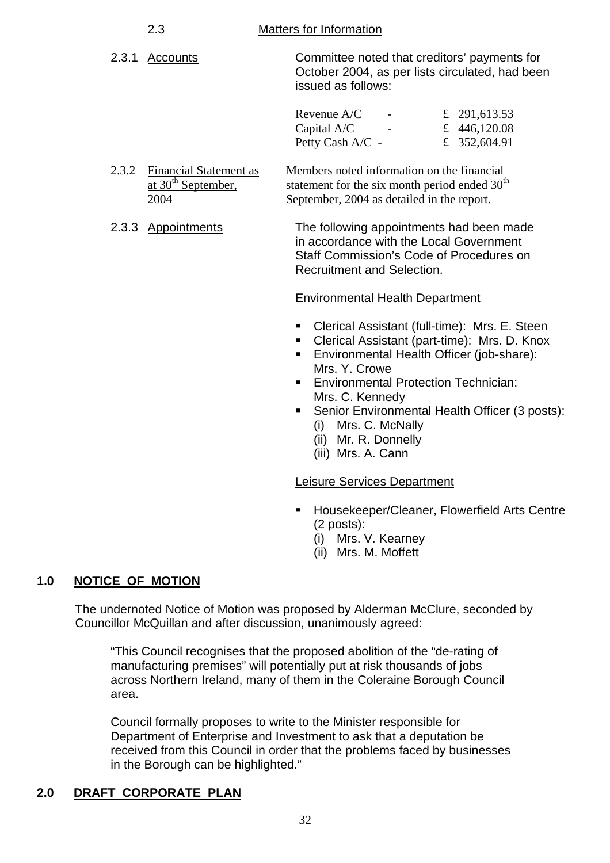#### 2.3 Matters for Information

 2.3.1 Accounts Committee noted that creditors' payments for October 2004, as per lists circulated, had been issued as follows:

| Revenue $A/C$    | £ 291,613.53 |
|------------------|--------------|
| Capital $A/C$    | £ 446,120.08 |
| Petty Cash A/C - | £ 352,604.91 |

- 2.3.2 Financial Statement as Members noted information on the financial at  $30<sup>th</sup>$  September, statement for the six month period ended  $30<sup>th</sup>$ 2004 September, 2004 as detailed in the report.
- 2.3.3 Appointments The following appointments had been made in accordance with the Local Government Staff Commission's Code of Procedures on Recruitment and Selection.

# Environmental Health Department

- Clerical Assistant (full-time): Mrs. E. Steen
- Clerical Assistant (part-time): Mrs. D. Knox
- Environmental Health Officer (job-share): Mrs. Y. Crowe
- **Environmental Protection Technician:** Mrs. C. Kennedy
- **Senior Environmental Health Officer (3 posts):** (i) Mrs. C. McNally
	- (ii) Mr. R. Donnelly
	- (iii) Mrs. A. Cann

#### Leisure Services Department

- Housekeeper/Cleaner, Flowerfield Arts Centre (2 posts):
	- (i) Mrs. V. Kearney
	- (ii) Mrs. M. Moffett

# **1.0 NOTICE OF MOTION**

The undernoted Notice of Motion was proposed by Alderman McClure, seconded by Councillor McQuillan and after discussion, unanimously agreed:

"This Council recognises that the proposed abolition of the "de-rating of manufacturing premises" will potentially put at risk thousands of jobs across Northern Ireland, many of them in the Coleraine Borough Council area.

Council formally proposes to write to the Minister responsible for Department of Enterprise and Investment to ask that a deputation be received from this Council in order that the problems faced by businesses in the Borough can be highlighted."

# **2.0 DRAFT CORPORATE PLAN**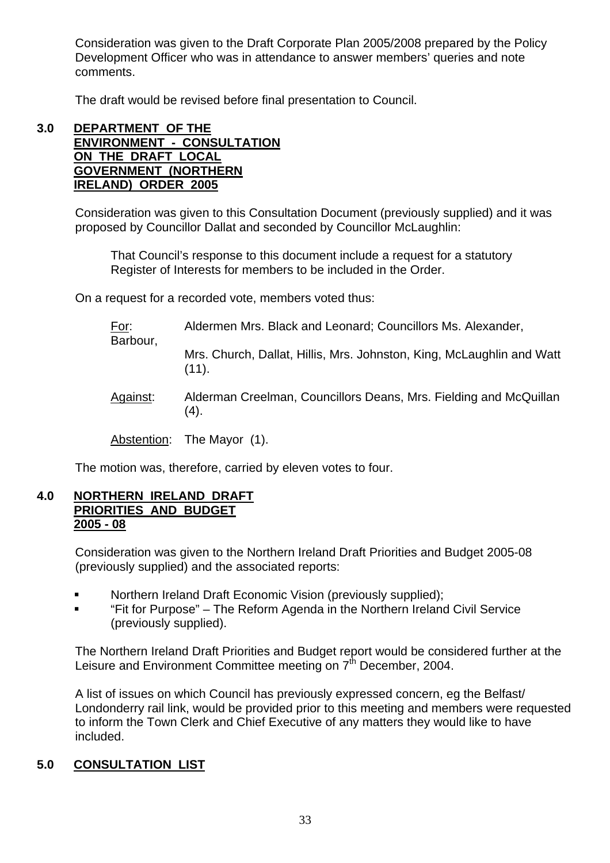Consideration was given to the Draft Corporate Plan 2005/2008 prepared by the Policy Development Officer who was in attendance to answer members' queries and note comments.

The draft would be revised before final presentation to Council.

#### **3.0 DEPARTMENT OF THE ENVIRONMENT - CONSULTATION ON THE DRAFT LOCAL GOVERNMENT (NORTHERN IRELAND) ORDER 2005**

Consideration was given to this Consultation Document (previously supplied) and it was proposed by Councillor Dallat and seconded by Councillor McLaughlin:

 That Council's response to this document include a request for a statutory Register of Interests for members to be included in the Order.

On a request for a recorded vote, members voted thus:

| <u>For:</u><br>Barbour, | Aldermen Mrs. Black and Leonard; Councillors Ms. Alexander,                    |
|-------------------------|--------------------------------------------------------------------------------|
|                         | Mrs. Church, Dallat, Hillis, Mrs. Johnston, King, McLaughlin and Watt<br>(11). |
| Against:                | Alderman Creelman, Councillors Deans, Mrs. Fielding and McQuillan<br>(4).      |
|                         | Abstention: The Mayor (1).                                                     |

The motion was, therefore, carried by eleven votes to four.

#### **4.0 NORTHERN IRELAND DRAFT PRIORITIES AND BUDGET 2005 - 08**

Consideration was given to the Northern Ireland Draft Priorities and Budget 2005-08 (previously supplied) and the associated reports:

- **Northern Ireland Draft Economic Vision (previously supplied);**
- "Fit for Purpose" The Reform Agenda in the Northern Ireland Civil Service (previously supplied).

The Northern Ireland Draft Priorities and Budget report would be considered further at the Leisure and Environment Committee meeting on 7<sup>th</sup> December, 2004.

A list of issues on which Council has previously expressed concern, eg the Belfast/ Londonderry rail link, would be provided prior to this meeting and members were requested to inform the Town Clerk and Chief Executive of any matters they would like to have included.

# **5.0 CONSULTATION LIST**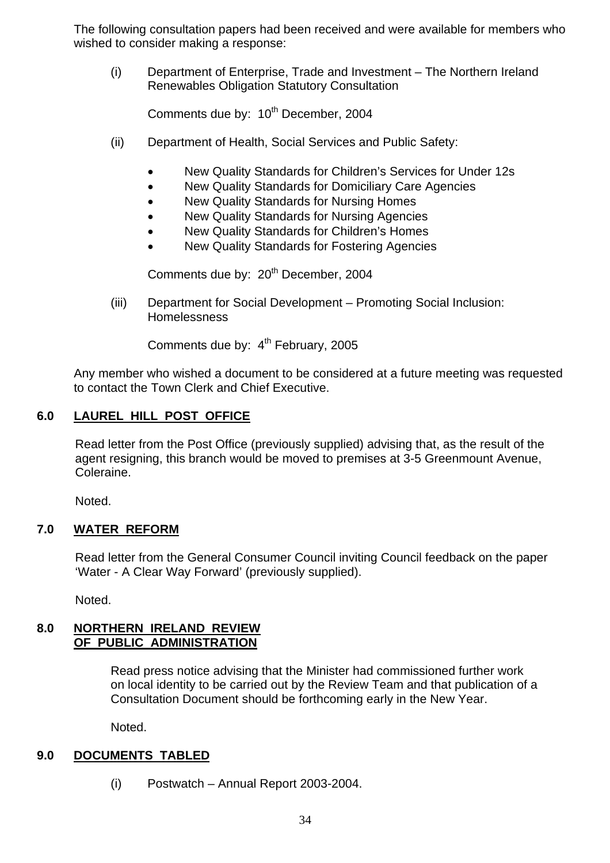The following consultation papers had been received and were available for members who wished to consider making a response:

(i) Department of Enterprise, Trade and Investment – The Northern Ireland Renewables Obligation Statutory Consultation

Comments due by: 10<sup>th</sup> December, 2004

- (ii) Department of Health, Social Services and Public Safety:
	- New Quality Standards for Children's Services for Under 12s
	- New Quality Standards for Domiciliary Care Agencies
	- New Quality Standards for Nursing Homes
	- New Quality Standards for Nursing Agencies
	- New Quality Standards for Children's Homes
	- New Quality Standards for Fostering Agencies

Comments due by: 20<sup>th</sup> December, 2004

(iii) Department for Social Development – Promoting Social Inclusion: **Homelessness** 

Comments due by: 4<sup>th</sup> February, 2005

Any member who wished a document to be considered at a future meeting was requested to contact the Town Clerk and Chief Executive.

# **6.0 LAUREL HILL POST OFFICE**

Read letter from the Post Office (previously supplied) advising that, as the result of the agent resigning, this branch would be moved to premises at 3-5 Greenmount Avenue, Coleraine.

Noted.

#### **7.0 WATER REFORM**

Read letter from the General Consumer Council inviting Council feedback on the paper 'Water - A Clear Way Forward' (previously supplied).

Noted.

#### **8.0 NORTHERN IRELAND REVIEW OF PUBLIC ADMINISTRATION**

 Read press notice advising that the Minister had commissioned further work on local identity to be carried out by the Review Team and that publication of a Consultation Document should be forthcoming early in the New Year.

Noted.

#### **9.0 DOCUMENTS TABLED**

(i) Postwatch – Annual Report 2003-2004.